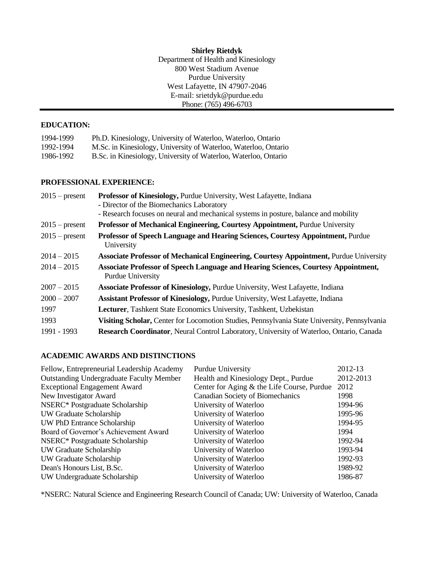**Shirley Rietdyk** Department of Health and Kinesiology 800 West Stadium Avenue Purdue University West Lafayette, IN 47907-2046 E-mail: srietdyk@purdue.edu Phone: (765) 496-6703

### **EDUCATION:**

| 1994-1999 | Ph.D. Kinesiology, University of Waterloo, Waterloo, Ontario    |
|-----------|-----------------------------------------------------------------|
| 1992-1994 | M.Sc. in Kinesiology, University of Waterloo, Waterloo, Ontario |
| 1986-1992 | B.Sc. in Kinesiology, University of Waterloo, Waterloo, Ontario |

### **PROFESSIONAL EXPERIENCE:**

| $2015$ – present | Professor of Kinesiology, Purdue University, West Lafayette, Indiana                                                  |
|------------------|-----------------------------------------------------------------------------------------------------------------------|
|                  | - Director of the Biomechanics Laboratory                                                                             |
|                  | - Research focuses on neural and mechanical systems in posture, balance and mobility                                  |
| $2015$ – present | <b>Professor of Mechanical Engineering, Courtesy Appointment, Purdue University</b>                                   |
| $2015$ – present | Professor of Speech Language and Hearing Sciences, Courtesy Appointment, Purdue<br>University                         |
| $2014 - 2015$    | <b>Associate Professor of Mechanical Engineering, Courtesy Appointment, Purdue University</b>                         |
| $2014 - 2015$    | <b>Associate Professor of Speech Language and Hearing Sciences, Courtesy Appointment,</b><br><b>Purdue University</b> |
| $2007 - 2015$    | <b>Associate Professor of Kinesiology, Purdue University, West Lafayette, Indiana</b>                                 |
| $2000 - 2007$    | Assistant Professor of Kinesiology, Purdue University, West Lafayette, Indiana                                        |
| 1997             | Lecturer, Tashkent State Economics University, Tashkent, Uzbekistan                                                   |
| 1993             | Visiting Scholar, Center for Locomotion Studies, Pennsylvania State University, Pennsylvania                          |
| 1991 - 1993      | Research Coordinator, Neural Control Laboratory, University of Waterloo, Ontario, Canada                              |

# **ACADEMIC AWARDS AND DISTINCTIONS**

| Fellow, Entrepreneurial Leadership Academy      | Purdue University                          | 2012-13   |
|-------------------------------------------------|--------------------------------------------|-----------|
| <b>Outstanding Undergraduate Faculty Member</b> | Health and Kinesiology Dept., Purdue       | 2012-2013 |
| <b>Exceptional Engagement Award</b>             | Center for Aging & the Life Course, Purdue | 2012      |
| New Investigator Award                          | Canadian Society of Biomechanics           | 1998      |
| NSERC* Postgraduate Scholarship                 | University of Waterloo                     | 1994-96   |
| UW Graduate Scholarship                         | University of Waterloo                     | 1995-96   |
| UW PhD Entrance Scholarship                     | University of Waterloo                     | 1994-95   |
| Board of Governor's Achievement Award           | University of Waterloo                     | 1994      |
| NSERC* Postgraduate Scholarship                 | University of Waterloo                     | 1992-94   |
| UW Graduate Scholarship                         | University of Waterloo                     | 1993-94   |
| UW Graduate Scholarship                         | University of Waterloo                     | 1992-93   |
| Dean's Honours List, B.Sc.                      | University of Waterloo                     | 1989-92   |
| UW Undergraduate Scholarship                    | University of Waterloo                     | 1986-87   |

\*NSERC: Natural Science and Engineering Research Council of Canada; UW: University of Waterloo, Canada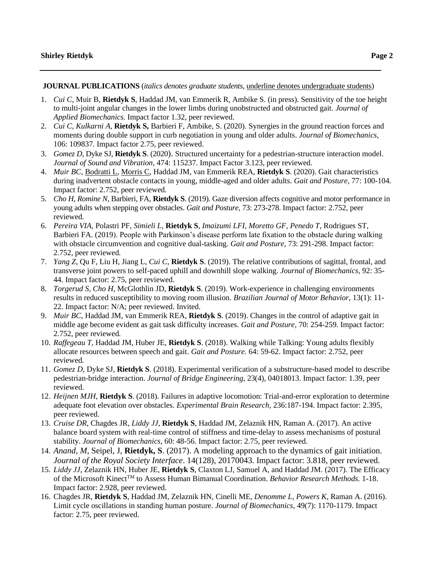**JOURNAL PUBLICATIONS** (*italics denotes graduate students*, underline denotes undergraduate students)

- 1. *Cui C,* Muir B, **Rietdyk S**, Haddad JM, van Emmerik R, Ambike S. (in press). Sensitivity of the toe height to multi-joint angular changes in the lower limbs during unobstructed and obstructed gait. *Journal of Applied Biomechanics.* Impact factor 1.32, peer reviewed.
- 2. *Cui C, Kulkarni A,* **Rietdyk S,** Barbieri F, Ambike, S. (2020). Synergies in the ground reaction forces and moments during double support in curb negotiation in young and older adults. *Journal of Biomechanics,*  106: 109837. Impact factor 2.75, peer reviewed.
- 3. *Gomez D,* Dyke SJ, **Rietdyk S**. (2020). Structured uncertainty for a pedestrian-structure interaction model. *Journal of Sound and Vibration,* 474: 115237. Impact Factor 3.123, peer reviewed.
- 4. *Muir BC,* Bodratti L, Morris C, Haddad JM, van Emmerik REA, **Rietdyk S**. (2020). Gait characteristics during inadvertent obstacle contacts in young, middle-aged and older adults. *Gait and Posture*, 77: 100-104*.* Impact factor: 2.752, peer reviewed*.*
- 5. *Cho H*, *Romine N,* Barbieri, FA, **Rietdyk S**. (2019). Gaze diversion affects cognitive and motor performance in young adults when stepping over obstacles. *Gait and Posture,* 73: 273-278. Impact factor: 2.752, peer reviewed*.*
- 6. *Pereira VIA*, Polastri PF, *Simieli L*, **Rietdyk S**, *Imaizumi LFI, Moretto GF, Penedo T*, Rodrigues ST, Barbieri FA. (2019). People with Parkinson's disease perform late fixation to the obstacle during walking with obstacle circumvention and cognitive dual-tasking. *Gait and Posture,* 73: 291-298. Impact factor: 2.752, peer reviewed*.*
- 7. *Yang Z*, Qu F, Liu H, Jiang L, *Cui C*, **Rietdyk S**. (2019). The relative contributions of sagittal, frontal, and transverse joint powers to self-paced uphill and downhill slope walking. *Journal of Biomechanics,* 92: 35- 44. Impact factor: 2.75, peer reviewed.
- 8. *Torgerud S, Cho H,* McGlothlin JD, **Rietdyk S**. (2019). Work-experience in challenging environments results in reduced susceptibility to moving room illusion. *Brazilian Journal of Motor Behavior,* 13(1): 11- 22*.* Impact factor: N/A; peer reviewed. Invited.
- 9. *Muir BC,* Haddad JM, van Emmerik REA, **Rietdyk S**. (2019). Changes in the control of adaptive gait in middle age become evident as gait task difficulty increases. *Gait and Posture,* 70: 254-259*.* Impact factor: 2.752, peer reviewed*.*
- 10. *Raffegeau T,* Haddad JM, Huber JE, **Rietdyk S**. (2018). Walking while Talking: Young adults flexibly allocate resources between speech and gait. *Gait and Posture.* 64: 59-62. Impact factor: 2.752, peer reviewed*.*
- 11. *Gomez D,* Dyke SJ, **Rietdyk S**. (2018). Experimental verification of a substructure-based model to describe pedestrian-bridge interaction. *Journal of Bridge Engineering,* 23(4), 04018013. Impact factor: 1.39, peer reviewed.
- 12. *Heijnen MJH*, **Rietdyk S**. (2018). Failures in adaptive locomotion: Trial-and-error exploration to determine adequate foot elevation over obstacles. *Experimental Brain Research,* 236:187-194. Impact factor: 2.395, peer reviewed.
- 13. *Cruise DR*, Chagdes JR, *Liddy JJ*, **Rietdyk S**, Haddad JM, Zelaznik HN, Raman A. (2017). An active balance board system with real-time control of stiffness and time-delay to assess mechanisms of postural stability. *Journal of Biomechanics,* 60: 48-56. Impact factor: 2.75, peer reviewed.
- 14. *Anand, M*, Seipel, J, **Rietdyk, S**. (2017). A modeling approach to the dynamics of gait initiation. *Journal of the Royal Society Interface*. 14(128), 20170043. Impact factor: 3.818, peer reviewed.
- 15. *Liddy JJ*, Zelaznik HN, Huber JE, **Rietdyk S**, Claxton LJ, Samuel A, and Haddad JM. (2017). The Efficacy of the Microsoft KinectTM to Assess Human Bimanual Coordination. *Behavior Research Methods.* 1-18. Impact factor: 2.928, peer reviewed.
- 16. Chagdes JR, **Rietdyk S**, Haddad JM, Zelaznik HN, Cinelli ME, *Denomme L, Powers K*, Raman A. (2016). Limit cycle oscillations in standing human posture. *Journal of Biomechanics,* 49(7): 1170-1179. Impact factor: 2.75, peer reviewed.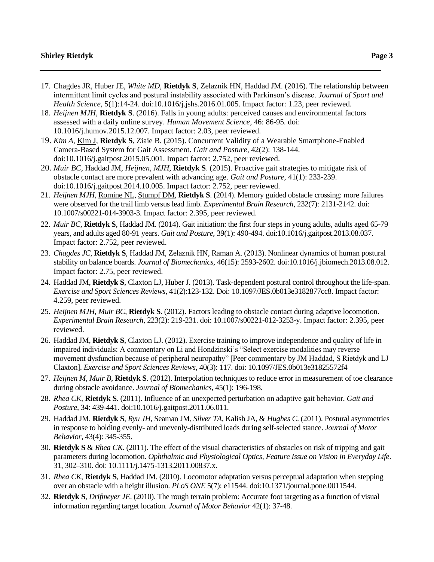- 17. Chagdes JR, Huber JE, *White MD*, **Rietdyk S**, Zelaznik HN, Haddad JM. (2016). The relationship between intermittent limit cycles and postural instability associated with Parkinson's disease. *Journal of Sport and Health Science,* 5(1):14-24. doi:10.1016/j.jshs.2016.01.005. Impact factor: 1.23, peer reviewed.
- 18. *Heijnen MJH*, **Rietdyk S**. (2016). Falls in young adults: perceived causes and environmental factors assessed with a daily online survey. *Human Movement Science*, 46: 86-95. doi: 10.1016/j.humov.2015.12.007. Impact factor: 2.03, peer reviewed.
- 19. *Kim A*, Kim J, **Rietdyk S**, Ziaie B. (2015). Concurrent Validity of a Wearable Smartphone-Enabled Camera-Based System for Gait Assessment. *Gait and Posture*, 42(2): 138-144. doi:10.1016/j.gaitpost.2015.05.001. Impact factor: 2.752, peer reviewed.
- 20. *Muir BC*, Haddad JM, *Heijnen, MJH*, **Rietdyk S**. (2015). Proactive gait strategies to mitigate risk of obstacle contact are more prevalent with advancing age. *Gait and Posture*, 41(1): 233-239. doi:10.1016/j.gaitpost.2014.10.005. Impact factor: 2.752, peer reviewed.
- 21. *Heijnen MJH*, Romine NL, Stumpf DM, **Rietdyk S**. (2014). Memory guided obstacle crossing: more failures were observed for the trail limb versus lead limb. *Experimental Brain Research*, 232(7): 2131-2142. doi: 10.1007/s00221-014-3903-3. Impact factor: 2.395, peer reviewed.
- 22. *Muir BC*, **Rietdyk S**, Haddad JM. (2014). Gait initiation: the first four steps in young adults, adults aged 65-79 years, and adults aged 80-91 years. *Gait and Posture*, 39(1): 490-494. doi:10.1016/j.gaitpost.2013.08.037. Impact factor: 2.752, peer reviewed.
- 23. *Chagdes JC*, **Rietdyk S**, Haddad JM, Zelaznik HN, Raman A. (2013). Nonlinear dynamics of human postural stability on balance boards. *Journal of Biomechanics*, 46(15): 2593-2602. doi:10.1016/j.jbiomech.2013.08.012. Impact factor: 2.75, peer reviewed.
- 24. Haddad JM, **Rietdyk S**, Claxton LJ, Huber J. (2013). Task-dependent postural control throughout the life-span. *Exercise and Sport Sciences Reviews*, 41(2):123-132. Doi: 10.1097/JES.0b013e3182877cc8. Impact factor: 4.259, peer reviewed.
- 25. *Heijnen MJH*, *Muir BC*, **Rietdyk S**. (2012). Factors leading to obstacle contact during adaptive locomotion. *Experimental Brain Research*, 223(2): 219-231. doi: 10.1007/s00221-012-3253-y. Impact factor: 2.395, peer reviewed.
- 26. Haddad JM, **Rietdyk S**, Claxton LJ. (2012). Exercise training to improve independence and quality of life in impaired individuals: A commentary on Li and Hondzinski's "Select exercise modalities may reverse movement dysfunction because of peripheral neuropathy" [Peer commentary by JM Haddad, S Rietdyk and LJ Claxton]. *Exercise and Sport Sciences Reviews*, 40(3): 117. doi: 10.1097/JES.0b013e31825572f4
- 27. *Heijnen M*, *Muir B*, **Rietdyk S**. (2012). Interpolation techniques to reduce error in measurement of toe clearance during obstacle avoidance. *Journal of Biomechanics*, 45(1): 196-198.
- 28. *Rhea CK*, **Rietdyk S**. (2011). Influence of an unexpected perturbation on adaptive gait behavior. *Gait and Posture*, 34: 439-441. doi:10.1016/j.gaitpost.2011.06.011.
- 29. Haddad JM, **Rietdyk S**, *Ryu JH*, Seaman JM, *Silver TA*, Kalish JA, & *Hughes C*. (2011). Postural asymmetries in response to holding evenly- and unevenly-distributed loads during self-selected stance. *Journal of Motor Behavior*, 43(4): 345-355.
- 30. **Rietdyk S** & *Rhea CK*. (2011). The effect of the visual characteristics of obstacles on risk of tripping and gait parameters during locomotion. *Ophthalmic and Physiological Optics, Feature Issue on Vision in Everyday Life*. 31, 302–310. doi: 10.1111/j.1475-1313.2011.00837.x.
- 31. *Rhea CK*, **Rietdyk S**, Haddad JM. (2010). Locomotor adaptation versus perceptual adaptation when stepping over an obstacle with a height illusion. *PLoS ONE* 5(7): e11544. doi:10.1371/journal.pone.0011544.
- 32. **Rietdyk S**, *Drifmeyer JE*. (2010). The rough terrain problem: Accurate foot targeting as a function of visual information regarding target location*. Journal of Motor Behavior* 42(1): 37-48.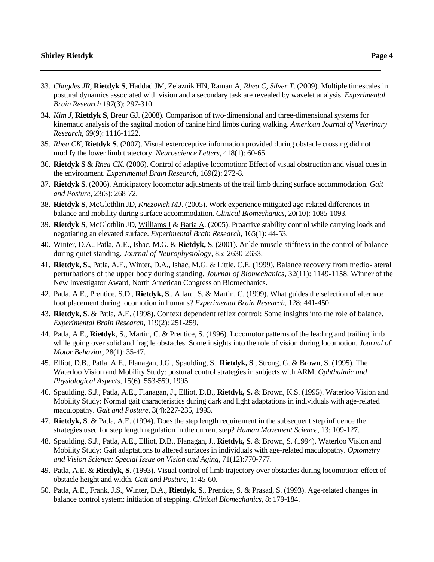- 33. *Chagdes JR*, **Rietdyk S**, Haddad JM, Zelaznik HN, Raman A, *Rhea C*, *Silver T*. (2009). Multiple timescales in postural dynamics associated with vision and a secondary task are revealed by wavelet analysis. *Experimental Brain Research* 197(3): 297-310.
- 34. *Kim J*, **Rietdyk S**, Breur GJ. (2008). Comparison of two-dimensional and three-dimensional systems for kinematic analysis of the sagittal motion of canine hind limbs during walking. *American Journal of Veterinary Research*, 69(9): 1116-1122.
- 35. *Rhea CK*, **Rietdyk S**. (2007). Visual exteroceptive information provided during obstacle crossing did not modify the lower limb trajectory. *Neuroscience Letters*, 418(1): 60-65.
- 36. **Rietdyk S** & *Rhea CK*. (2006). Control of adaptive locomotion: Effect of visual obstruction and visual cues in the environment. *Experimental Brain Research*, 169(2): 272-8.
- 37. **Rietdyk S**. (2006). Anticipatory locomotor adjustments of the trail limb during surface accommodation. *Gait and Posture*, 23(3): 268-72.
- 38. **Rietdyk S**, McGlothlin JD, *Knezovich MJ*. (2005). Work experience mitigated age-related differences in balance and mobility during surface accommodation. *Clinical Biomechanics*, 20(10): 1085-1093.
- 39. **Rietdyk S**, McGlothlin JD, Williams J & Baria A. (2005). Proactive stability control while carrying loads and negotiating an elevated surface. *Experimental Brain Research*, 165(1): 44-53.
- 40. Winter, D.A., Patla, A.E., Ishac, M.G. & **Rietdyk, S**. (2001). Ankle muscle stiffness in the control of balance during quiet standing. *Journal of Neurophysiology,* 85: 2630-2633.
- 41. **Rietdyk, S**., Patla, A.E., Winter, D.A., Ishac, M.G. & Little, C.E. (1999). Balance recovery from medio-lateral perturbations of the upper body during standing. *Journal of Biomechanics,* 32(11): 1149-1158. Winner of the New Investigator Award, North American Congress on Biomechanics.
- 42. Patla, A.E., Prentice, S.D., **Rietdyk, S**., Allard, S. & Martin, C. (1999). What guides the selection of alternate foot placement during locomotion in humans? *Experimental Brain Research*, 128: 441-450.
- 43. **Rietdyk, S**. & Patla, A.E. (1998). Context dependent reflex control: Some insights into the role of balance. *Experimental Brain Research,* 119(2): 251-259.
- 44. Patla, A.E., **Rietdyk**, S., Martin, C. & Prentice, S. (1996). Locomotor patterns of the leading and trailing limb while going over solid and fragile obstacles: Some insights into the role of vision during locomotion. *Journal of Motor Behavior,* 28(1): 35-47.
- 45. Elliot, D.B., Patla, A.E., Flanagan, J.G., Spaulding, S., **Rietdyk, S**., Strong, G. & Brown, S. (1995). The Waterloo Vision and Mobility Study: postural control strategies in subjects with ARM. *Ophthalmic and Physiological Aspects,* 15(6): 553-559, 1995.
- 46. Spaulding, S.J., Patla, A.E., Flanagan, J., Elliot, D.B., **Rietdyk, S.** & Brown, K.S. (1995). Waterloo Vision and Mobility Study: Normal gait characteristics during dark and light adaptations in individuals with age-related maculopathy. *Gait and Posture,* 3(4):227-235, 1995.
- 47. **Rietdyk, S**. & Patla, A.E. (1994). Does the step length requirement in the subsequent step influence the strategies used for step length regulation in the current step? *Human Movement Science,* 13: 109-127.
- 48. Spaulding, S.J., Patla, A.E., Elliot, D.B., Flanagan, J., **Rietdyk, S**. & Brown, S. (1994). Waterloo Vision and Mobility Study: Gait adaptations to altered surfaces in individuals with age-related maculopathy. *Optometry and Vision Science: Special Issue on Vision and Aging,* 71(12):770-777.
- 49. Patla, A.E. & **Rietdyk, S**. (1993). Visual control of limb trajectory over obstacles during locomotion: effect of obstacle height and width. *Gait and Posture,* 1: 45-60.
- 50. Patla, A.E., Frank, J.S., Winter, D.A., **Rietdyk, S**., Prentice, S. & Prasad, S. (1993). Age-related changes in balance control system: initiation of stepping. *Clinical Biomechanics,* 8: 179-184.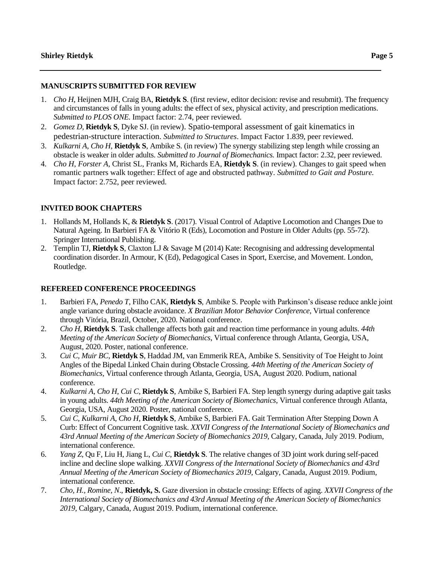### **MANUSCRIPTS SUBMITTED FOR REVIEW**

- 1. *Cho H*, Heijnen MJH, Craig BA, **Rietdyk S**. (first review, editor decision: revise and resubmit). The frequency and circumstances of falls in young adults: the effect of sex, physical activity, and prescription medications. *Submitted to PLOS ONE.* Impact factor: 2.74, peer reviewed*.*
- 2. *Gomez D*, **Rietdyk S***,* Dyke SJ. (in review). Spatio-temporal assessment of gait kinematics in pedestrian-structure interaction. *Submitted to Structures*. Impact Factor 1.839, peer reviewed.
- 3. *Kulkarni A, Cho H,* **Rietdyk S**, Ambike S*.* (in review) The synergy stabilizing step length while crossing an obstacle is weaker in older adults. *Submitted to Journal of Biomechanics.* Impact factor: 2.32, peer reviewed.
- 4. *Cho H, Forster A,* Christ SL, Franks M, Richards EA, **Rietdyk S**. (in review). Changes to gait speed when romantic partners walk together: Effect of age and obstructed pathway. *Submitted to Gait and Posture.*  Impact factor: 2.752, peer reviewed*.*

# **INVITED BOOK CHAPTERS**

- 1. Hollands M, Hollands K, & **Rietdyk S**. (2017). Visual Control of Adaptive Locomotion and Changes Due to Natural Ageing. In Barbieri FA & Vitório R (Eds), Locomotion and Posture in Older Adults (pp. 55-72). Springer International Publishing.
- 2. Templin TJ, **Rietdyk S**, Claxton LJ & Savage M (2014) Kate: Recognising and addressing developmental coordination disorder. In Armour, K (Ed), Pedagogical Cases in Sport, Exercise, and Movement. London, Routledge.

# **REFEREED CONFERENCE PROCEEDINGS**

- 1. Barbieri FA, *Penedo T*, Filho CAK, **Rietdyk S**, Ambike S. People with Parkinson's disease reduce ankle joint angle variance during obstacle avoidance. *X Brazilian Motor Behavior Conference*, Virtual conference through Vitória, Brazil, October, 2020. National conference.
- 2. *Cho H*, **Rietdyk S**. Task challenge affects both gait and reaction time performance in young adults. *44th Meeting of the American Society of Biomechanics*, Virtual conference through Atlanta, Georgia, USA, August, 2020. Poster, national conference.
- 3. *Cui C, Muir BC*, **Rietdyk S**, Haddad JM, van Emmerik REA, Ambike S. Sensitivity of Toe Height to Joint Angles of the Bipedal Linked Chain during Obstacle Crossing. *44th Meeting of the American Society of Biomechanics*, Virtual conference through Atlanta, Georgia, USA, August 2020. Podium, national conference.
- 4. *Kulkarni A, Cho H, Cui C*, **Rietdyk S**, Ambike S, Barbieri FA. Step length synergy during adaptive gait tasks in young adults. *44th Meeting of the American Society of Biomechanics*, Virtual conference through Atlanta, Georgia, USA, August 2020. Poster, national conference.
- 5. *Cui C, Kulkarni A, Cho H*, **Rietdyk S**, Ambike S, Barbieri FA. Gait Termination After Stepping Down A Curb: Effect of Concurrent Cognitive task. *XXVII Congress of the International Society of Biomechanics and 43rd Annual Meeting of the American Society of Biomechanics 2019*, Calgary, Canada, July 2019. Podium, international conference.
- 6. *Yang Z*, Qu F, Liu H, Jiang L, *Cui C*, **Rietdyk S**. The relative changes of 3D joint work during self-paced incline and decline slope walking. *XXVII Congress of the International Society of Biomechanics and 43rd Annual Meeting of the American Society of Biomechanics 2019*, Calgary, Canada, August 2019. Podium, international conference.
- 7. *Cho, H., Romine, N*., **Rietdyk, S.** Gaze diversion in obstacle crossing: Effects of aging. *XXVII Congress of the International Society of Biomechanics and 43rd Annual Meeting of the American Society of Biomechanics 2019*, Calgary, Canada, August 2019. Podium, international conference.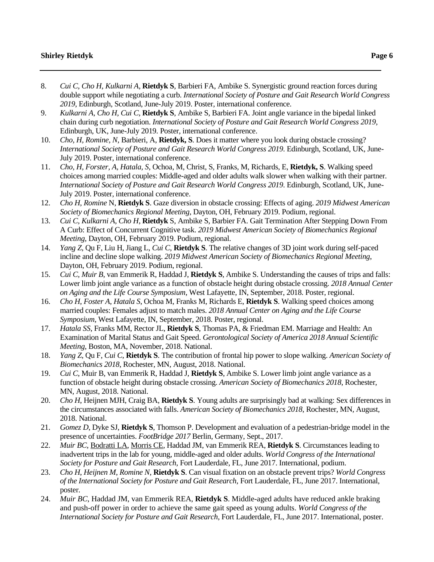- 8. *Cui C, Cho H, Kulkarni A*, **Rietdyk S**, Barbieri FA, Ambike S. Synergistic ground reaction forces during double support while negotiating a curb. *International Society of Posture and Gait Research World Congress 2019*, Edinburgh, Scotland, June-July 2019. Poster, international conference.
- 9. *Kulkarni A, Cho H, Cui C,* **Rietdyk S**, Ambike S, Barbieri FA*.* Joint angle variance in the bipedal linked chain during curb negotiation. *International Society of Posture and Gait Research World Congress 2019,*  Edinburgh, UK, June-July 2019. Poster, international conference.
- 10. *Cho, H, Romine, N*, Barbieri, A, **Rietdyk, S**. Does it matter where you look during obstacle crossing? *International Society of Posture and Gait Research World Congress 2019*. Edinburgh, Scotland, UK, June-July 2019. Poster, international conference.
- 11. *Cho, H, Forster, A, Hatala, S*, Ochoa, M, Christ, S, Franks, M, Richards, E, **Rietdyk, S**. Walking speed choices among married couples: Middle-aged and older adults walk slower when walking with their partner. *International Society of Posture and Gait Research World Congress 2019*. Edinburgh, Scotland, UK, June-July 2019. Poster, international conference.
- 12. *Cho H, Romine* N, **Rietdyk S**. Gaze diversion in obstacle crossing: Effects of aging. *2019 Midwest American Society of Biomechanics Regional Meeting*, Dayton, OH, February 2019. Podium, regional.
- 13. *Cui C, Kulkarni A, Cho H*, **Rietdyk** S, Ambike S, Barbier FA. Gait Termination After Stepping Down From A Curb: Effect of Concurrent Cognitive task. *2019 Midwest American Society of Biomechanics Regional Meeting*, Dayton, OH, February 2019. Podium, regional.
- 14. *Yang Z*, Qu F, Liu H, Jiang L, *Cui C*, **Rietdyk S**. The relative changes of 3D joint work during self-paced incline and decline slope walking. *2019 Midwest American Society of Biomechanics Regional Meeting*, Dayton, OH, February 2019. Podium, regional.
- 15. *Cui C, Muir B*, van Emmerik R, Haddad J, **Rietdyk S**, Ambike S. Understanding the causes of trips and falls: Lower limb joint angle variance as a function of obstacle height during obstacle crossing. *2018 Annual Center on Aging and the Life Course Symposium*, West Lafayette, IN, September, 2018. Poster, regional.
- 16. *Cho H, Foster A, Hatala S*, Ochoa M, Franks M, Richards E, **Rietdyk S**. Walking speed choices among married couples: Females adjust to match males. *2018 Annual Center on Aging and the Life Course Symposium*, West Lafayette, IN, September, 2018. Poster, regional.
- 17. *Hatala SS*, Franks MM, Rector JL, **Rietdyk S**, Thomas PA, & Friedman EM. Marriage and Health: An Examination of Marital Status and Gait Speed. *Gerontological Society of America 2018 Annual Scientific Meeting*, Boston, MA, November, 2018. National.
- 18. *Yang Z*, Qu F, *Cui C*, **Rietdyk S**. The contribution of frontal hip power to slope walking. *American Society of Biomechanics 2018*, Rochester, MN, August, 2018. National.
- 19. *Cui C*, Muir B, van Emmerik R, Haddad J, **Rietdyk S**, Ambike S. Lower limb joint angle variance as a function of obstacle height during obstacle crossing. *American Society of Biomechanics 2018*, Rochester, MN, August, 2018. National.
- 20. *Cho H*, Heijnen MJH, Craig BA, **Rietdyk S**. Young adults are surprisingly bad at walking: Sex differences in the circumstances associated with falls. *American Society of Biomechanics 2018*, Rochester, MN, August, 2018. National.
- 21. *Gomez D*, Dyke SJ, **Rietdyk S**, Thomson P. Development and evaluation of a pedestrian-bridge model in the presence of uncertainties. *FootBridge 2017* Berlin, Germany, Sept., 2017.
- 22. *Muir BC*, Bodratti LA, Morris CE, Haddad JM, van Emmerik REA, **Rietdyk S**. Circumstances leading to inadvertent trips in the lab for young, middle-aged and older adults. *World Congress of the International Society for Posture and Gait Research*, Fort Lauderdale, FL, June 2017. International, podium.
- 23. *Cho H*, *Heijnen M*, *Romine N*, **Rietdyk S**. Can visual fixation on an obstacle prevent trips? *World Congress of the International Society for Posture and Gait Research*, Fort Lauderdale, FL, June 2017. International, poster.
- 24. *Muir BC*, Haddad JM, van Emmerik REA, **Rietdyk S**. Middle-aged adults have reduced ankle braking and push-off power in order to achieve the same gait speed as young adults. *World Congress of the International Society for Posture and Gait Research*, Fort Lauderdale, FL, June 2017. International, poster.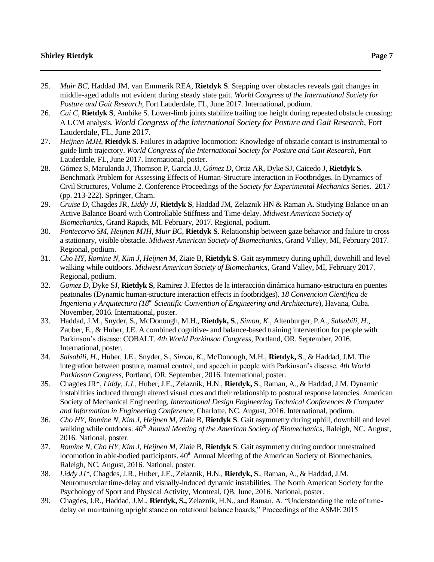- 25. *Muir BC*, Haddad JM, van Emmerik REA, **Rietdyk S**. Stepping over obstacles reveals gait changes in middle-aged adults not evident during steady state gait. *World Congress of the International Society for Posture and Gait Research*, Fort Lauderdale, FL, June 2017. International, podium.
- 26. *Cui C*, **Rietdyk S**, Ambike S. Lower-limb joints stabilize trailing toe height during repeated obstacle crossing: A UCM analysis. *World Congress of the International Society for Posture and Gait Research*, Fort Lauderdale, FL, June 2017.
- 27. *Heijnen MJH*, **Rietdyk S**. Failures in adaptive locomotion: Knowledge of obstacle contact is instrumental to guide limb trajectory. *World Congress of the International Society for Posture and Gait Research*, Fort Lauderdale, FL, June 2017. International, poster.
- 28. Gómez S, Marulanda J, Thomson P, García JJ, *Gómez D*, Ortiz AR, Dyke SJ, Caicedo J, **Rietdyk S**. Benchmark Problem for Assessing Effects of Human-Structure Interaction in Footbridges. In Dynamics of Civil Structures, Volume 2. Conference Proceedings of the *Society for Experimental Mechanics* Series. 2017 (pp. 213-222). Springer, Cham.
- 29. *Cruise D,* Chagdes JR, *Liddy JJ,* **Rietdyk S**, Haddad JM, Zelaznik HN & Raman A. Studying Balance on an Active Balance Board with Controllable Stiffness and Time-delay. *Midwest American Society of Biomechanics*, Grand Rapids, MI. February, 2017. Regional, podium.
- 30. *Pontecorvo SM, Heijnen MJH, Muir BC*, **Rietdyk S**. Relationship between gaze behavior and failure to cross a stationary, visible obstacle. *Midwest American Society of Biomechanics*, Grand Valley, MI, February 2017. Regional, podium.
- 31. *Cho HY, Romine N, Kim J, Heijnen M,* Ziaie B, **Rietdyk S**. Gait asymmetry during uphill, downhill and level walking while outdoors. *Midwest American Society of Biomechanics*, Grand Valley, MI, February 2017. Regional, podium.
- 32. *Gomez D*, Dyke SJ, **Rietdyk S**, Ramirez J. Efectos de la interacción dinámica humano-estructura en puentes peatonales (Dynamic human-structure interaction effects in footbridges). *18 Convencion Cientifica de Ingenieria y Arquitectura (18th Scientific Convention of Engineering and Architecture*), Havana, Cuba. November, 2016. International, poster.
- 33. Haddad, J.M., Snyder, S., McDonough, M.H., **Rietdyk, S**., *Simon, K*., Altenburger, P.A., *Salsabili, H*., Zauber, E., & Huber, J.E. A combined cognitive- and balance-based training intervention for people with Parkinson's disease: COBALT. *4th World Parkinson Congress*, Portland, OR. September, 2016. International, poster.
- 34. *Salsabili, H*., Huber, J.E., Snyder, S., *Simon, K*., McDonough, M.H., **Rietdyk, S**., & Haddad, J.M. The integration between posture, manual control, and speech in people with Parkinson's disease*. 4th World Parkinson Congress*, Portland, OR*.* September, 2016. International, poster.
- 35. Chagdes JR\*, *Liddy, J.J*., Huber, J.E., Zelaznik, H.N., **Rietdyk, S**., Raman, A., & Haddad, J.M. Dynamic instabilities induced through altered visual cues and their relationship to postural response latencies. American Society of Mechanical Engineering, *International Design Engineering Technical Conferences & Computer and Information in Engineering Conference*, Charlotte, NC. August, 2016. International, podium.
- 36. *Cho HY, Romine N, Kim J, Heijnen M*, Ziaie B, **Rietdyk S**. Gait asymmetry during uphill, downhill and level walking while outdoors. *40th Annual Meeting of the American Society of Biomechanics*, Raleigh, NC. August, 2016. National, poster.
- 37. *Romine N, Cho HY, Kim J, Heijnen M*, Ziaie B, **Rietdyk S**. Gait asymmetry during outdoor unrestrained locomotion in able-bodied participants.  $40<sup>th</sup>$  Annual Meeting of the American Society of Biomechanics, Raleigh, NC. August, 2016. National, poster.
- 38. *Liddy JJ\*,* Chagdes, J.R., Huber, J.E., Zelaznik, H.N., **Rietdyk, S**., Raman, A., & Haddad, J.M. Neuromuscular time-delay and visually-induced dynamic instabilities. The North American Society for the Psychology of Sport and Physical Activity, Montreal, QB, June, 2016. National, poster.
- 39. Chagdes, J.R., Haddad, J.M., **Rietdyk, S.,** Zelaznik, H.N., and Raman, A. "Understanding the role of timedelay on maintaining upright stance on rotational balance boards," Proceedings of the ASME 2015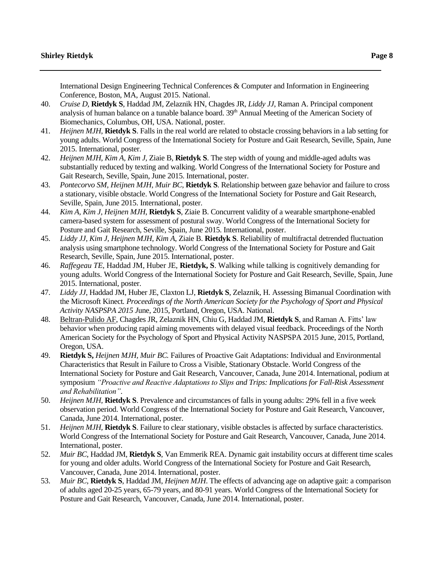International Design Engineering Technical Conferences & Computer and Information in Engineering Conference, Boston, MA, August 2015. National.

- 40. *Cruise D*, **Rietdyk S**, Haddad JM, Zelaznik HN, Chagdes JR, *Liddy JJ*, Raman A. Principal component analysis of human balance on a tunable balance board. 39<sup>th</sup> Annual Meeting of the American Society of Biomechanics, Columbus, OH, USA. National, poster.
- 41. *Heijnen MJH*, **Rietdyk S**. Falls in the real world are related to obstacle crossing behaviors in a lab setting for young adults. World Congress of the International Society for Posture and Gait Research, Seville, Spain, June 2015. International, poster.
- 42. *Heijnen MJH, Kim A, Kim J*, Ziaie B, **Rietdyk S**. The step width of young and middle-aged adults was substantially reduced by texting and walking. World Congress of the International Society for Posture and Gait Research, Seville, Spain, June 2015. International, poster.
- 43. *Pontecorvo SM, Heijnen MJH, Muir BC*, **Rietdyk S**. Relationship between gaze behavior and failure to cross a stationary, visible obstacle. World Congress of the International Society for Posture and Gait Research, Seville, Spain, June 2015. International, poster.
- 44. *Kim A, Kim J, Heijnen MJH*, **Rietdyk S**, Ziaie B. Concurrent validity of a wearable smartphone-enabled camera-based system for assessment of postural sway. World Congress of the International Society for Posture and Gait Research, Seville, Spain, June 2015. International, poster.
- 45. *Liddy JJ, Kim J, Heijnen MJH, Kim A*, Ziaie B. **Rietdyk S**. Reliability of multifractal detrended fluctuation analysis using smartphone technology. World Congress of the International Society for Posture and Gait Research, Seville, Spain, June 2015. International, poster.
- 46. *Raffegeau TE*, Haddad JM, Huber JE, **Rietdyk, S**. Walking while talking is cognitively demanding for young adults. World Congress of the International Society for Posture and Gait Research, Seville, Spain, June 2015. International, poster.
- 47. *Liddy JJ*, Haddad JM, Huber JE, Claxton LJ, **Rietdyk S**, Zelaznik, H. Assessing Bimanual Coordination with the Microsoft Kinect*. Proceedings of the North American Society for the Psychology of Sport and Physical Activity NASPSPA 2015 J*une, 2015, Portland, Oregon, USA. National.
- 48. Beltran-Pulido AF, Chagdes JR, Zelaznik HN, Chiu G, Haddad JM, **Rietdyk S**, and Raman A. Fitts' law behavior when producing rapid aiming movements with delayed visual feedback. Proceedings of the North American Society for the Psychology of Sport and Physical Activity NASPSPA 2015 June, 2015, Portland, Oregon, USA.
- 49. **Rietdyk S,** *Heijnen MJH, Muir BC.* Failures of Proactive Gait Adaptations: Individual and Environmental Characteristics that Result in Failure to Cross a Visible, Stationary Obstacle. World Congress of the International Society for Posture and Gait Research, Vancouver, Canada, June 2014. International, podium at symposium *"Proactive and Reactive Adaptations to Slips and Trips: Implications for Fall-Risk Assessment and Rehabilitation"*.
- 50. *Heijnen MJH,* **Rietdyk S**. Prevalence and circumstances of falls in young adults: 29% fell in a five week observation period. World Congress of the International Society for Posture and Gait Research, Vancouver, Canada, June 2014. International, poster.
- 51. *Heijnen MJH,* **Rietdyk S**. Failure to clear stationary, visible obstacles is affected by surface characteristics. World Congress of the International Society for Posture and Gait Research, Vancouver, Canada, June 2014. International, poster.
- 52. *Muir BC*, Haddad JM, **Rietdyk S**, Van Emmerik REA. Dynamic gait instability occurs at different time scales for young and older adults. World Congress of the International Society for Posture and Gait Research, Vancouver, Canada, June 2014. International, poster.
- 53. *Muir BC*, **Rietdyk S**, Haddad JM, *Heijnen MJH*. The effects of advancing age on adaptive gait: a comparison of adults aged 20-25 years, 65-79 years, and 80-91 years. World Congress of the International Society for Posture and Gait Research, Vancouver, Canada, June 2014. International, poster.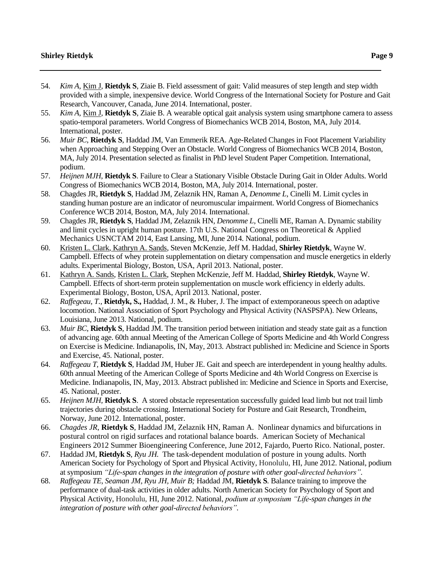- 54. *Kim A,* Kim J*,* **Rietdyk S**, Ziaie B. Field assessment of gait: Valid measures of step length and step width provided with a simple, inexpensive device. World Congress of the International Society for Posture and Gait Research, Vancouver, Canada, June 2014. International, poster.
- 55. *Kim A,* Kim J*,* **Rietdyk S**, Ziaie B. A wearable optical gait analysis system using smartphone camera to assess spatio-temporal parameters. World Congress of Biomechanics WCB 2014, Boston, MA, July 2014. International, poster.
- 56. *Muir BC*, **Rietdyk S**, Haddad JM, Van Emmerik REA. Age-Related Changes in Foot Placement Variability when Approaching and Stepping Over an Obstacle. World Congress of Biomechanics WCB 2014, Boston, MA, July 2014. Presentation selected as finalist in PhD level Student Paper Competition. International, podium.
- 57. *Heijnen MJH*, **Rietdyk S**. Failure to Clear a Stationary Visible Obstacle During Gait in Older Adults. World Congress of Biomechanics WCB 2014, Boston, MA, July 2014. International, poster.
- 58. Chagdes JR, **Rietdyk S**, Haddad JM, Zelaznik HN, Raman A, *Denomme L*, Cinelli M. Limit cycles in standing human posture are an indicator of neuromuscular impairment. World Congress of Biomechanics Conference WCB 2014, Boston, MA, July 2014. International.
- 59. Chagdes JR, **Rietdyk S**, Haddad JM, Zelaznik HN, *Denomme L*, Cinelli ME, Raman A. Dynamic stability and limit cycles in upright human posture. 17th U.S. National Congress on Theoretical & Applied Mechanics USNCTAM 2014, East Lansing, MI, June 2014. National, podium.
- 60. Kristen L. Clark, Kathryn A. Sands, Steven McKenzie, Jeff M. Haddad, **Shirley Rietdyk**, Wayne W. Campbell. Effects of whey protein supplementation on dietary compensation and muscle energetics in elderly adults. Experimental Biology*,* Boston, USA, April 2013. National, poster.
- 61. Kathryn A. Sands, Kristen L. Clark, Stephen McKenzie, Jeff M. Haddad, **Shirley Rietdyk**, Wayne W. Campbell. Effects of short-term protein supplementation on muscle work efficiency in elderly adults. Experimental Biology, Boston, USA, April 2013. National, poster.
- 62. *Raffegeau, T.,* **Rietdyk, S.,** Haddad, J. M., & Huber, J. The impact of extemporaneous speech on adaptive locomotion. National Association of Sport Psychology and Physical Activity (NASPSPA). New Orleans, Louisiana, June 2013. National, podium.
- 63. *Muir BC*, **Rietdyk S**, Haddad JM. The transition period between initiation and steady state gait as a function of advancing age. 60th annual Meeting of the American College of Sports Medicine and 4th World Congress on Exercise is Medicine. Indianapolis, IN, May, 2013. Abstract published in: Medicine and Science in Sports and Exercise, 45. National, poster.
- 64. *Raffegeau T,* **Rietdyk S**, Haddad JM, Huber JE. Gait and speech are interdependent in young healthy adults. 60th annual Meeting of the American College of Sports Medicine and 4th World Congress on Exercise is Medicine. Indianapolis, IN, May, 2013. Abstract published in: Medicine and Science in Sports and Exercise, 45. National, poster.
- 65. *Heijnen MJH,* **Rietdyk S**. A stored obstacle representation successfully guided lead limb but not trail limb trajectories during obstacle crossing. International Society for Posture and Gait Research, Trondheim, Norway, June 2012. International, poster.
- 66. *Chagdes JR*, **Rietdyk S**, Haddad JM, Zelaznik HN, Raman A. Nonlinear dynamics and bifurcations in postural control on rigid surfaces and rotational balance boards. American Society of Mechanical Engineers 2012 Summer Bioengineering Conference, June 2012, Fajardo, Puerto Rico. National, poster.
- 67. Haddad JM, **Rietdyk S**, *Ryu JH.* The task-dependent modulation of posture in young adults. North American Society for Psychology of Sport and Physical Activity, Honolulu, HI, June 2012. National, podium at symposium *"Life-span changes in the integration of posture with other goal-directed behaviors"*.
- 68. *Raffegeau TE, Seaman JM, Ryu JH, Muir B;* Haddad JM, **Rietdyk S***.* Balance training to improve the performance of dual-task activities in older adults. North American Society for Psychology of Sport and Physical Activity, Honolulu, HI, June 2012. National, *podium at symposium "Life-span changes in the integration of posture with other goal-directed behaviors"*.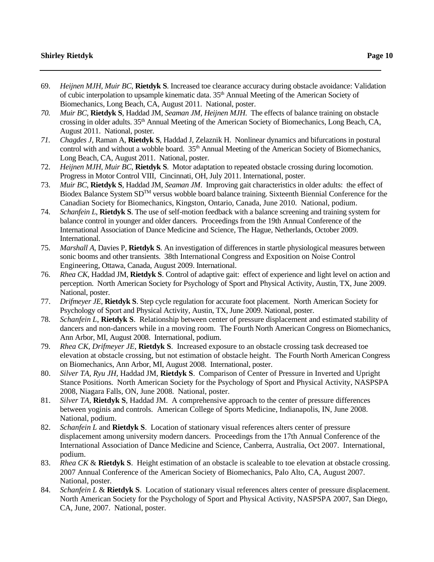- 69. *Heijnen MJH, Muir BC*, **Rietdyk S**. Increased toe clearance accuracy during obstacle avoidance: Validation of cubic interpolation to upsample kinematic data. 35th Annual Meeting of the American Society of Biomechanics, Long Beach, CA, August 2011. National, poster.
- *70. Muir BC*, **Rietdyk S**, Haddad JM, *Seaman JM, Heijnen MJH*. The effects of balance training on obstacle crossing in older adults. 35th Annual Meeting of the American Society of Biomechanics, Long Beach, CA, August 2011. National, poster*.*
- *71. Chagdes J*, Raman A, **Rietdyk S**, Haddad J, Zelaznik H. Nonlinear dynamics and bifurcations in postural control with and without a wobble board. 35<sup>th</sup> Annual Meeting of the American Society of Biomechanics, Long Beach, CA, August 2011. National, poster.
- 72. *Heijnen MJH, Muir BC*, **Rietdyk S**. Motor adaptation to repeated obstacle crossing during locomotion. Progress in Motor Control VIII, Cincinnati, OH, July 2011. International, poster.
- 73. *Muir BC*, **Rietdyk S**, Haddad JM, *Seaman JM*. Improving gait characteristics in older adults: the effect of Biodex Balance System SD<sup>TM</sup> versus wobble board balance training. Sixteenth Biennial Conference for the Canadian Society for Biomechanics, Kingston, Ontario, Canada, June 2010. National, podium.
- 74. *Schanfein L*, **Rietdyk S**. The use of self-motion feedback with a balance screening and training system for balance control in younger and older dancers. Proceedings from the 19th Annual Conference of the International Association of Dance Medicine and Science, The Hague, Netherlands, October 2009. International.
- 75. *Marshall A*, Davies P, **Rietdyk S**. An investigation of differences in startle physiological measures between sonic booms and other transients. 38th International Congress and Exposition on Noise Control Engineering, Ottawa, Canada, August 2009. International.
- 76. *Rhea CK*, Haddad JM, **Rietdyk S**. Control of adaptive gait: effect of experience and light level on action and perception. North American Society for Psychology of Sport and Physical Activity, Austin, TX, June 2009. National, poster.
- 77. *Drifmeyer JE*, **Rietdyk S**. Step cycle regulation for accurate foot placement. North American Society for Psychology of Sport and Physical Activity, Austin, TX, June 2009. National, poster.
- 78. *Schanfein L*, **Rietdyk S**. Relationship between center of pressure displacement and estimated stability of dancers and non-dancers while in a moving room. The Fourth North American Congress on Biomechanics, Ann Arbor, MI, August 2008. International, podium.
- 79. *Rhea CK, Drifmeyer JE*, **Rietdyk S**. Increased exposure to an obstacle crossing task decreased toe elevation at obstacle crossing, but not estimation of obstacle height. The Fourth North American Congress on Biomechanics, Ann Arbor, MI, August 2008. International, poster.
- 80. *Silver TA, Ryu JH*, Haddad JM, **Rietdyk S**. Comparison of Center of Pressure in Inverted and Upright Stance Positions. North American Society for the Psychology of Sport and Physical Activity, NASPSPA 2008, Niagara Falls, ON, June 2008. National, poster.
- 81. *Silver TA*, **Rietdyk S**, Haddad JM. A comprehensive approach to the center of pressure differences between yoginis and controls. American College of Sports Medicine, Indianapolis, IN, June 2008. National, podium.
- 82. *Schanfein L* and **Rietdyk S**. Location of stationary visual references alters center of pressure displacement among university modern dancers. Proceedings from the 17th Annual Conference of the International Association of Dance Medicine and Science, Canberra, Australia, Oct 2007. International, podium.
- 83. *Rhea CK* & **Rietdyk S**. Height estimation of an obstacle is scaleable to toe elevation at obstacle crossing. 2007 Annual Conference of the American Society of Biomechanics, Palo Alto, CA, August 2007. National, poster.
- 84. *Schanfein L* & **Rietdyk S**. Location of stationary visual references alters center of pressure displacement. North American Society for the Psychology of Sport and Physical Activity, NASPSPA 2007, San Diego, CA, June, 2007. National, poster.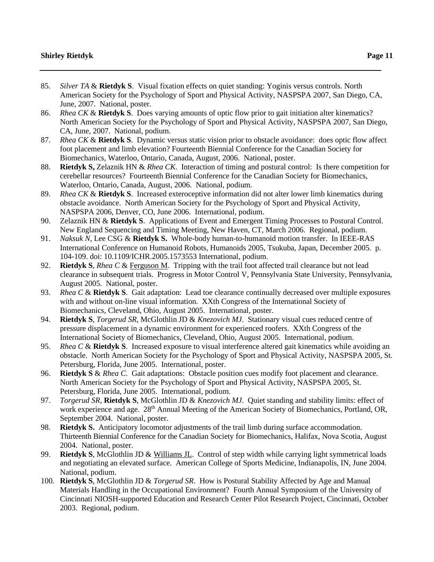- 85. *Silver TA* & **Rietdyk S**. Visual fixation effects on quiet standing: Yoginis versus controls. North American Society for the Psychology of Sport and Physical Activity, NASPSPA 2007, San Diego, CA, June, 2007. National, poster.
- 86. *Rhea CK* & **Rietdyk S**. Does varying amounts of optic flow prior to gait initiation alter kinematics? North American Society for the Psychology of Sport and Physical Activity, NASPSPA 2007, San Diego, CA, June, 2007. National, podium.
- 87. *Rhea CK* & **Rietdyk S**. Dynamic versus static vision prior to obstacle avoidance: does optic flow affect foot placement and limb elevation? Fourteenth Biennial Conference for the Canadian Society for Biomechanics, Waterloo, Ontario, Canada, August, 2006. National, poster.
- 88. **Rietdyk S,** Zelaznik HN & *Rhea CK*. Interaction of timing and postural control: Is there competition for cerebellar resources? Fourteenth Biennial Conference for the Canadian Society for Biomechanics, Waterloo, Ontario, Canada, August, 2006. National, podium.
- 89. *Rhea CK* & **Rietdyk S**. Increased exteroceptive information did not alter lower limb kinematics during obstacle avoidance. North American Society for the Psychology of Sport and Physical Activity, NASPSPA 2006, Denver, CO, June 2006. International, podium.
- 90. Zelaznik HN & **Rietdyk S**. Applications of Event and Emergent Timing Processes to Postural Control. New England Sequencing and Timing Meeting, New Haven, CT, March 2006. Regional, podium.
- 91. *Naksuk N*, Lee CSG & **Rietdyk S.** Whole-body human-to-humanoid motion transfer. In IEEE-RAS International Conference on Humanoid Robots, Humanoids 2005, Tsukuba, Japan, December 2005. p. 104-109. doi: 10.1109/ICHR.2005.1573553 International, podium.
- 92. **Rietdyk S**, *Rhea C* & Ferguson M. Tripping with the trail foot affected trail clearance but not lead clearance in subsequent trials. Progress in Motor Control V, Pennsylvania State University, Pennsylvania, August 2005. National, poster.
- 93. *Rhea C* & **Rietdyk S**. Gait adaptation: Lead toe clearance continually decreased over multiple exposures with and without on-line visual information. XXth Congress of the International Society of Biomechanics, Cleveland, Ohio, August 2005. International, poster.
- 94. **Rietdyk S**, *Torgerud SR*, McGlothlin JD & *Knezovich MJ*. Stationary visual cues reduced centre of pressure displacement in a dynamic environment for experienced roofers. XXth Congress of the International Society of Biomechanics, Cleveland, Ohio, August 2005. International, podium.
- 95. *Rhea C* & **Rietdyk S**. Increased exposure to visual interference altered gait kinematics while avoiding an obstacle. North American Society for the Psychology of Sport and Physical Activity, NASPSPA 2005, St. Petersburg, Florida, June 2005. International, poster.
- 96. **Rietdyk S** & *Rhea C*. Gait adaptations: Obstacle position cues modify foot placement and clearance. North American Society for the Psychology of Sport and Physical Activity, NASPSPA 2005, St. Petersburg, Florida, June 2005. International, podium.
- 97. *Torgerud SR*, **Rietdyk S**, McGlothlin JD & *Knezovich MJ*. Quiet standing and stability limits: effect of work experience and age. 28<sup>th</sup> Annual Meeting of the American Society of Biomechanics, Portland, OR, September 2004. National, poster.
- 98. **Rietdyk S.** Anticipatory locomotor adjustments of the trail limb during surface accommodation. Thirteenth Biennial Conference for the Canadian Society for Biomechanics, Halifax, Nova Scotia, August 2004. National, poster.
- 99. **Rietdyk S**, McGlothlin JD & Williams JL. Control of step width while carrying light symmetrical loads and negotiating an elevated surface. American College of Sports Medicine, Indianapolis, IN, June 2004. National, podium.
- 100. **Rietdyk S**, McGlothlin JD & *Torgerud SR*. How is Postural Stability Affected by Age and Manual Materials Handling in the Occupational Environment? Fourth Annual Symposium of the University of Cincinnati NIOSH-supported Education and Research Center Pilot Research Project, Cincinnati, October 2003. Regional, podium.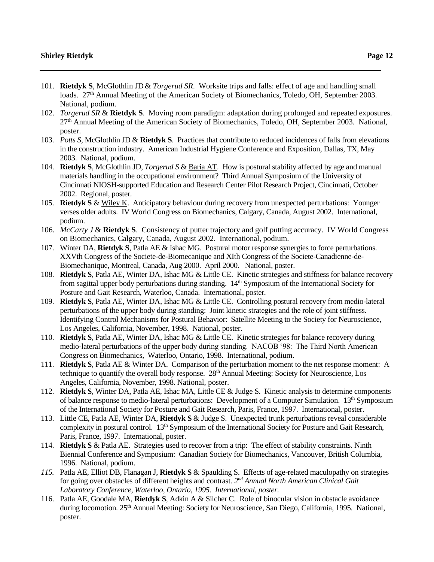- 101. **Rietdyk S**, McGlothlin JD& *Torgerud SR*. Worksite trips and falls: effect of age and handling small loads. 27<sup>th</sup> Annual Meeting of the American Society of Biomechanics, Toledo, OH, September 2003. National, podium.
- 102. *Torgerud SR* & **Rietdyk S**. Moving room paradigm: adaptation during prolonged and repeated exposures. 27th Annual Meeting of the American Society of Biomechanics, Toledo, OH, September 2003. National, poster.
- 103. *Potts S*, McGlothlin JD & **Rietdyk S**. Practices that contribute to reduced incidences of falls from elevations in the construction industry. American Industrial Hygiene Conference and Exposition, Dallas, TX, May 2003. National, podium.
- 104. **Rietdyk S**, McGlothlin JD, *Torgerud S* & Baria AT. How is postural stability affected by age and manual materials handling in the occupational environment? Third Annual Symposium of the University of Cincinnati NIOSH-supported Education and Research Center Pilot Research Project, Cincinnati, October 2002. Regional, poster.
- 105. **Rietdyk S** & Wiley K. Anticipatory behaviour during recovery from unexpected perturbations: Younger verses older adults. IV World Congress on Biomechanics, Calgary, Canada, August 2002. International, podium.
- 106. *McCarty J* & **Rietdyk S**. Consistency of putter trajectory and golf putting accuracy. IV World Congress on Biomechanics, Calgary, Canada, August 2002. International, podium.
- 107. Winter DA, **Rietdyk S**, Patla AE & Ishac MG. Postural motor response synergies to force perturbations. XXVth Congress of the Societe-de-Biomecanique and XIth Congress of the Societe-Canadienne-de-Biomechanique, Montreal, Canada, Aug 2000. April 2000. National, poster.
- 108. **Rietdyk S**, Patla AE, Winter DA, Ishac MG & Little CE. Kinetic strategies and stiffness for balance recovery from sagittal upper body perturbations during standing. 14th Symposium of the International Society for Posture and Gait Research, Waterloo, Canada. International, poster*.*
- 109. **Rietdyk S**, Patla AE, Winter DA, Ishac MG & Little CE. Controlling postural recovery from medio-lateral perturbations of the upper body during standing: Joint kinetic strategies and the role of joint stiffness. Identifying Control Mechanisms for Postural Behavior: Satellite Meeting to the Society for Neuroscience, Los Angeles, California, November, 1998. National, poster.
- 110. **Rietdyk S**, Patla AE, Winter DA, Ishac MG & Little CE. Kinetic strategies for balance recovery during medio-lateral perturbations of the upper body during standing. NACOB '98: The Third North American Congress on Biomechanics, Waterloo, Ontario, 1998. International, podium.
- 111. **Rietdyk S**, Patla AE & Winter DA. Comparison of the perturbation moment to the net response moment: A technique to quantify the overall body response. 28<sup>th</sup> Annual Meeting: Society for Neuroscience, Los Angeles, California, November, 1998. National, poster.
- 112. **Rietdyk S**, Winter DA, Patla AE, Ishac MA, Little CE & Judge S. Kinetic analysis to determine components of balance response to medio-lateral perturbations: Development of a Computer Simulation. 13th Symposium of the International Society for Posture and Gait Research, Paris, France, 1997. International, poster.
- 113. Little CE, Patla AE, Winter DA, **Rietdyk S** & Judge S. Unexpected trunk perturbations reveal considerable complexity in postural control. 13<sup>th</sup> Symposium of the International Society for Posture and Gait Research, Paris, France, 1997. International, poster.
- 114. **Rietdyk S** & Patla AE. Strategies used to recover from a trip: The effect of stability constraints. Ninth Biennial Conference and Symposium: Canadian Society for Biomechanics, Vancouver, British Columbia, 1996. National, podium.
- *115.* Patla AE, Elliot DB, Flanagan J, **Rietdyk S** & Spaulding S. Effects of age-related maculopathy on strategies for going over obstacles of different heights and contrast*. 2nd Annual North American Clinical Gait Laboratory Conference, Waterloo, Ontario, 1995. International, poster.*
- 116. Patla AE, Goodale MA, **Rietdyk S**, Adkin A & Silcher C. Role of binocular vision in obstacle avoidance during locomotion. 25<sup>th</sup> Annual Meeting: Society for Neuroscience, San Diego, California, 1995. National, poster.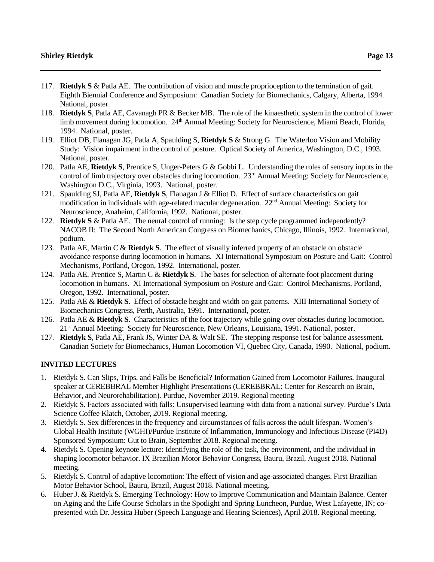- 117. **Rietdyk S** & Patla AE. The contribution of vision and muscle proprioception to the termination of gait. Eighth Biennial Conference and Symposium: Canadian Society for Biomechanics, Calgary, Alberta, 1994. National, poster.
- 118. **Rietdyk S**, Patla AE, Cavanagh PR & Becker MB. The role of the kinaesthetic system in the control of lower limb movement during locomotion. 24<sup>th</sup> Annual Meeting: Society for Neuroscience, Miami Beach, Florida, 1994. National, poster.
- 119. Elliot DB, Flanagan JG, Patla A, Spaulding S, **Rietdyk S** & Strong G. The Waterloo Vision and Mobility Study: Vision impairment in the control of posture. Optical Society of America*,* Washington, D.C., 1993. National, poster*.*
- 120. Patla AE, **Rietdyk S**, Prentice S, Unger-Peters G & Gobbi L. Understanding the roles of sensory inputs in the control of limb trajectory over obstacles during locomotion. 23<sup>rd</sup> Annual Meeting: Society for Neuroscience, Washington D.C., Virginia, 1993. National, poster.
- 121. Spaulding SJ, Patla AE, **Rietdyk S**, Flanagan J & Elliot D. Effect of surface characteristics on gait modification in individuals with age-related macular degeneration. 22<sup>nd</sup> Annual Meeting: Society for Neuroscience, Anaheim, California, 1992. National, poster.
- 122. **Rietdyk S** & Patla AE. The neural control of running: Is the step cycle programmed independently? NACOB II: The Second North American Congress on Biomechanics, Chicago, Illinois, 1992. International, podium.
- 123. Patla AE, Martin C & **Rietdyk S**. The effect of visually inferred property of an obstacle on obstacle avoidance response during locomotion in humans. XI International Symposium on Posture and Gait: Control Mechanisms, Portland, Oregon, 1992. International, poster.
- 124. Patla AE, Prentice S, Martin C & **Rietdyk S**. The bases for selection of alternate foot placement during locomotion in humans. XI International Symposium on Posture and Gait: Control Mechanisms, Portland, Oregon, 1992. International, poster.
- 125. Patla AE & **Rietdyk S**. Effect of obstacle height and width on gait patterns. XIII International Society of Biomechanics Congress, Perth, Australia, 1991. International, poster.
- 126. Patla AE & **Rietdyk S**. Characteristics of the foot trajectory while going over obstacles during locomotion. 21st Annual Meeting: Society for Neuroscience, New Orleans, Louisiana, 1991. National, poster.
- 127. **Rietdyk S**, Patla AE, Frank JS, Winter DA & Walt SE. The stepping response test for balance assessment. Canadian Society for Biomechanics, Human Locomotion VI, Quebec City, Canada, 1990. National, podium.

# **INVITED LECTURES**

- 1. Rietdyk S. Can Slips, Trips, and Falls be Beneficial? Information Gained from Locomotor Failures. Inaugural speaker at CEREBBRAL Member Highlight Presentations (CEREBBRAL: Center for Research on Brain, Behavior, and Neurorehabilitation). Purdue, November 2019. Regional meeting
- 2. Rietdyk S. Factors associated with falls: Unsupervised learning with data from a national survey. Purdue's Data Science Coffee Klatch, October, 2019. Regional meeting.
- 3. Rietdyk S. Sex differences in the frequency and circumstances of falls across the adult lifespan. Women's Global Health Institute (WGHI)/Purdue Institute of Inflammation, Immunology and Infectious Disease (PI4D) Sponsored Symposium: Gut to Brain, September 2018. Regional meeting.
- 4. Rietdyk S. Opening keynote lecture: Identifying the role of the task, the environment, and the individual in shaping locomotor behavior. IX Brazilian Motor Behavior Congress, Bauru, Brazil, August 2018. National meeting.
- 5. Rietdyk S. Control of adaptive locomotion: The effect of vision and age-associated changes. First Brazilian Motor Behavior School, Bauru, Brazil, August 2018. National meeting.
- 6. Huber J. & Rietdyk S. Emerging Technology: How to Improve Communication and Maintain Balance. Center on Aging and the Life Course Scholars in the Spotlight and Spring Luncheon, Purdue, West Lafayette, IN; copresented with Dr. Jessica Huber (Speech Language and Hearing Sciences), April 2018. Regional meeting.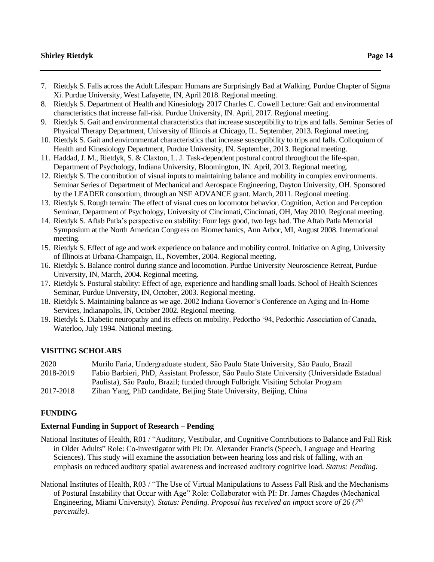- 7. Rietdyk S. Falls across the Adult Lifespan: Humans are Surprisingly Bad at Walking. Purdue Chapter of Sigma Xi. Purdue University, West Lafayette, IN, April 2018. Regional meeting.
- 8. Rietdyk S. Department of Health and Kinesiology 2017 Charles C. Cowell Lecture: Gait and environmental characteristics that increase fall-risk. Purdue University, IN. April, 2017. Regional meeting.
- 9. Rietdyk S. Gait and environmental characteristics that increase susceptibility to trips and falls. Seminar Series of Physical Therapy Department, University of Illinois at Chicago, IL. September, 2013. Regional meeting.
- 10. Rietdyk S. Gait and environmental characteristics that increase susceptibility to trips and falls. Colloquium of Health and Kinesiology Department, Purdue University, IN. September, 2013. Regional meeting.
- 11. Haddad, J. M., Rietdyk, S. & Claxton, L. J. Task-dependent postural control throughout the life-span. Department of Psychology, Indiana University, Bloomington, IN. April, 2013. Regional meeting.
- 12. Rietdyk S. The contribution of visual inputs to maintaining balance and mobility in complex environments. Seminar Series of Department of Mechanical and Aerospace Engineering, Dayton University, OH. Sponsored by the LEADER consortium, through an NSF ADVANCE grant. March, 2011. Regional meeting.
- 13. Rietdyk S. Rough terrain: The effect of visual cues on locomotor behavior. Cognition, Action and Perception Seminar, Department of Psychology, University of Cincinnati, Cincinnati, OH, May 2010. Regional meeting.
- 14. Rietdyk S. Aftab Patla's perspective on stability: Four legs good, two legs bad. The Aftab Patla Memorial Symposium at the North American Congress on Biomechanics, Ann Arbor, MI, August 2008. International meeting.
- 15. Rietdyk S. Effect of age and work experience on balance and mobility control. Initiative on Aging, University of Illinois at Urbana-Champaign, IL, November, 2004. Regional meeting.
- 16. Rietdyk S. Balance control during stance and locomotion. Purdue University Neuroscience Retreat, Purdue University, IN, March, 2004. Regional meeting.
- 17. Rietdyk S. Postural stability: Effect of age, experience and handling small loads. School of Health Sciences Seminar, Purdue University, IN, October, 2003. Regional meeting.
- 18. Rietdyk S. Maintaining balance as we age. 2002 Indiana Governor's Conference on Aging and In-Home Services, Indianapolis, IN, October 2002. Regional meeting.
- 19. Rietdyk S. Diabetic neuropathy and its effects on mobility. Pedortho '94, Pedorthic Association of Canada, Waterloo, July 1994. National meeting.

## **VISITING SCHOLARS**

| 2020      | Murilo Faria, Undergraduate student, São Paulo State University, São Paulo, Brazil          |
|-----------|---------------------------------------------------------------------------------------------|
| 2018-2019 | Fabio Barbieri, PhD, Assistant Professor, São Paulo State University (Universidade Estadual |
|           | Paulista), São Paulo, Brazil; funded through Fulbright Visiting Scholar Program             |
| 2017-2018 | Zihan Yang, PhD candidate, Beijing State University, Beijing, China                         |

### **FUNDING**

### **External Funding in Support of Research – Pending**

- National Institutes of Health, R01 / "Auditory, Vestibular, and Cognitive Contributions to Balance and Fall Risk in Older Adults" Role: Co-investigator with PI: Dr. Alexander Francis (Speech, Language and Hearing Sciences). This study will examine the association between hearing loss and risk of falling, with an emphasis on reduced auditory spatial awareness and increased auditory cognitive load. *Status: Pending.*
- National Institutes of Health, R03 / "The Use of Virtual Manipulations to Assess Fall Risk and the Mechanisms of Postural Instability that Occur with Age" Role: Collaborator with PI: Dr. James Chagdes (Mechanical Engineering, Miami University). *Status: Pending. Proposal has received an impact score of 26 (7th percentile).*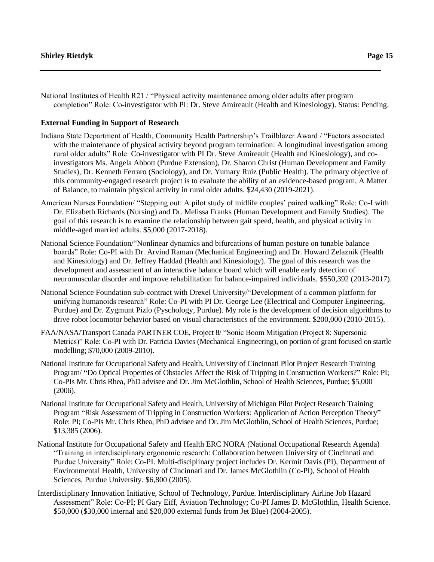National Institutes of Health R21 / "Physical activity maintenance among older adults after program completion" Role: Co-investigator with PI: Dr. Steve Amireault (Health and Kinesiology). Status: Pending.

### **External Funding in Support of Research**

- Indiana State Department of Health, Community Health Partnership's Trailblazer Award / "Factors associated with the maintenance of physical activity beyond program termination: A longitudinal investigation among rural older adults" Role: Co-investigator with PI Dr. Steve Amireault (Health and Kinesiology), and coinvestigators Ms. Angela Abbott (Purdue Extension), Dr. Sharon Christ (Human Development and Family Studies), Dr. Kenneth Ferraro (Sociology), and Dr. Yumary Ruiz (Public Health). The primary objective of this community-engaged research project is to evaluate the ability of an evidence-based program, A Matter of Balance, to maintain physical activity in rural older adults. \$24,430 (2019-2021).
- American Nurses Foundation/ "Stepping out: A pilot study of midlife couples' paired walking" Role: Co-I with Dr. Elizabeth Richards (Nursing) and Dr. Melissa Franks (Human Development and Family Studies). The goal of this research is to examine the relationship between gait speed, health, and physical activity in middle-aged married adults. \$5,000 (2017-2018).
- National Science Foundation/"Nonlinear dynamics and bifurcations of human posture on tunable balance boards" Role: Co-PI with Dr. Arvind Raman (Mechanical Engineering) and Dr. Howard Zelaznik (Health and Kinesiology) and Dr. Jeffrey Haddad (Health and Kinesiology). The goal of this research was the development and assessment of an interactive balance board which will enable early detection of neuromuscular disorder and improve rehabilitation for balance-impaired individuals. \$550,392 (2013-2017).
- National Science Foundation sub-contract with Drexel University/"Development of a common platform for unifying humanoids research" Role: Co-PI with PI Dr. George Lee (Electrical and Computer Engineering, Purdue) and Dr. Zygmunt Pizlo (Pyschology, Purdue). My role is the development of decision algorithms to drive robot locomotor behavior based on visual characteristics of the environment. \$200,000 (2010-2015).
- FAA/NASA/Transport Canada PARTNER COE, Project 8/ "Sonic Boom Mitigation (Project 8: Supersonic Metrics)" Role: Co-PI with Dr. Patricia Davies (Mechanical Engineering), on portion of grant focused on startle modelling; \$70,000 (2009-2010).
- National Institute for Occupational Safety and Health, University of Cincinnati Pilot Project Research Training Program/ **"**Do Optical Properties of Obstacles Affect the Risk of Tripping in Construction Workers?**"** Role: PI; Co-PIs Mr. Chris Rhea, PhD advisee and Dr. Jim McGlothlin, School of Health Sciences, Purdue; \$5,000 (2006).
- National Institute for Occupational Safety and Health, University of Michigan Pilot Project Research Training Program "Risk Assessment of Tripping in Construction Workers: Application of Action Perception Theory" Role: PI; Co-PIs Mr. Chris Rhea, PhD advisee and Dr. Jim McGlothlin, School of Health Sciences, Purdue; \$13,385 (2006).
- National Institute for Occupational Safety and Health ERC NORA (National Occupational Research Agenda) "Training in interdisciplinary ergonomic research: Collaboration between University of Cincinnati and Purdue University" Role: Co-PI. Multi-disciplinary project includes Dr. Kermit Davis (PI), Department of Environmental Health, University of Cincinnati and Dr. James McGlothlin (Co-PI), School of Health Sciences, Purdue University. \$6,800 (2005).
- Interdisciplinary Innovation Initiative, School of Technology, Purdue. Interdisciplinary Airline Job Hazard Assessment" Role: Co-PI; PI Gary Eiff, Aviation Technology; Co-PI James D. McGlothlin, Health Science. \$50,000 (\$30,000 internal and \$20,000 external funds from Jet Blue) (2004-2005).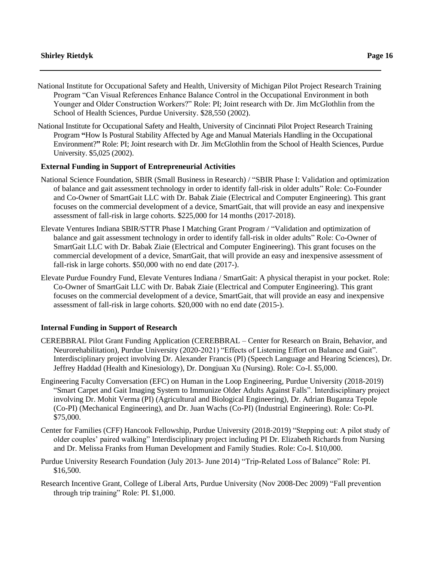- National Institute for Occupational Safety and Health, University of Michigan Pilot Project Research Training Program "Can Visual References Enhance Balance Control in the Occupational Environment in both Younger and Older Construction Workers?" Role: PI; Joint research with Dr. Jim McGlothlin from the School of Health Sciences, Purdue University. \$28,550 (2002).
- National Institute for Occupational Safety and Health, University of Cincinnati Pilot Project Research Training Program **"**How Is Postural Stability Affected by Age and Manual Materials Handling in the Occupational Environment?**"** Role: PI; Joint research with Dr. Jim McGlothlin from the School of Health Sciences, Purdue University. \$5,025 (2002).

### **External Funding in Support of Entrepreneurial Activities**

- National Science Foundation, SBIR (Small Business in Research) / "SBIR Phase I: Validation and optimization of balance and gait assessment technology in order to identify fall-risk in older adults" Role: Co-Founder and Co-Owner of SmartGait LLC with Dr. Babak Ziaie (Electrical and Computer Engineering). This grant focuses on the commercial development of a device, SmartGait, that will provide an easy and inexpensive assessment of fall-risk in large cohorts. \$225,000 for 14 months (2017-2018).
- Elevate Ventures Indiana SBIR/STTR Phase I Matching Grant Program / "Validation and optimization of balance and gait assessment technology in order to identify fall-risk in older adults" Role: Co-Owner of SmartGait LLC with Dr. Babak Ziaie (Electrical and Computer Engineering). This grant focuses on the commercial development of a device, SmartGait, that will provide an easy and inexpensive assessment of fall-risk in large cohorts. \$50,000 with no end date (2017-).
- Elevate Purdue Foundry Fund, Elevate Ventures Indiana / SmartGait: A physical therapist in your pocket. Role: Co-Owner of SmartGait LLC with Dr. Babak Ziaie (Electrical and Computer Engineering). This grant focuses on the commercial development of a device, SmartGait, that will provide an easy and inexpensive assessment of fall-risk in large cohorts. \$20,000 with no end date (2015-).

### **Internal Funding in Support of Research**

- CEREBBRAL Pilot Grant Funding Application (CEREBBRAL Center for Research on Brain, Behavior, and Neurorehabilitation), Purdue University (2020-2021) "Effects of Listening Effort on Balance and Gait". Interdisciplinary project involving Dr. Alexander Francis (PI) (Speech Language and Hearing Sciences), Dr. Jeffrey Haddad (Health and Kinesiology), Dr. Dongjuan Xu (Nursing). Role: Co-I. \$5,000.
- Engineering Faculty Conversation (EFC) on Human in the Loop Engineering, Purdue University (2018-2019) "Smart Carpet and Gait Imaging System to Immunize Older Adults Against Falls". Interdisciplinary project involving Dr. Mohit Verma (PI) (Agricultural and Biological Engineering), Dr. Adrian Buganza Tepole (Co-PI) (Mechanical Engineering), and Dr. Juan Wachs (Co-PI) (Industrial Engineering). Role: Co-PI. \$75,000.
- Center for Families (CFF) Hancook Fellowship, Purdue University (2018-2019) "Stepping out: A pilot study of older couples' paired walking" Interdisciplinary project including PI Dr. Elizabeth Richards from Nursing and Dr. Melissa Franks from Human Development and Family Studies. Role: Co-I. \$10,000.
- Purdue University Research Foundation (July 2013- June 2014) "Trip-Related Loss of Balance" Role: PI. \$16,500.
- Research Incentive Grant, College of Liberal Arts, Purdue University (Nov 2008-Dec 2009) "Fall prevention through trip training" Role: PI. \$1,000.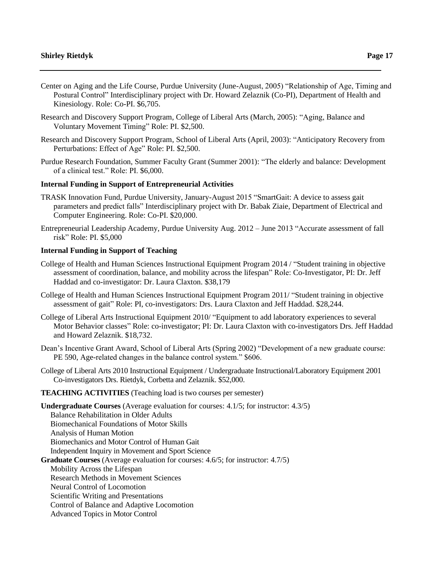- Center on Aging and the Life Course, Purdue University (June-August, 2005) "Relationship of Age, Timing and Postural Control" Interdisciplinary project with Dr. Howard Zelaznik (Co-PI), Department of Health and Kinesiology. Role: Co-PI. \$6,705.
- Research and Discovery Support Program, College of Liberal Arts (March, 2005): "Aging, Balance and Voluntary Movement Timing" Role: PI. \$2,500.
- Research and Discovery Support Program, School of Liberal Arts (April, 2003): "Anticipatory Recovery from Perturbations: Effect of Age" Role: PI. \$2,500.
- Purdue Research Foundation, Summer Faculty Grant (Summer 2001): "The elderly and balance: Development of a clinical test." Role: PI. \$6,000.

### **Internal Funding in Support of Entrepreneurial Activities**

- TRASK Innovation Fund, Purdue University, January-August 2015 "SmartGait: A device to assess gait parameters and predict falls" Interdisciplinary project with Dr. Babak Ziaie, Department of Electrical and Computer Engineering. Role: Co-PI. \$20,000.
- Entrepreneurial Leadership Academy, Purdue University Aug. 2012 June 2013 "Accurate assessment of fall risk" Role: PI. \$5,000

### **Internal Funding in Support of Teaching**

- College of Health and Human Sciences Instructional Equipment Program 2014 / "Student training in objective assessment of coordination, balance, and mobility across the lifespan" Role: Co-Investigator, PI: Dr. Jeff Haddad and co-investigator: Dr. Laura Claxton. \$38,179
- College of Health and Human Sciences Instructional Equipment Program 2011/ "Student training in objective assessment of gait" Role: PI, co-investigators: Drs. Laura Claxton and Jeff Haddad. \$28,244.
- College of Liberal Arts Instructional Equipment 2010/ "Equipment to add laboratory experiences to several Motor Behavior classes" Role: co-investigator; PI: Dr. Laura Claxton with co-investigators Drs. Jeff Haddad and Howard Zelaznik. \$18,732.
- Dean's Incentive Grant Award, School of Liberal Arts (Spring 2002) "Development of a new graduate course: PE 590, Age-related changes in the balance control system." \$606.
- College of Liberal Arts 2010 Instructional Equipment / Undergraduate Instructional/Laboratory Equipment 2001 Co-investigators Drs. Rietdyk, Corbetta and Zelaznik. \$52,000.

#### **TEACHING ACTIVITIES** (Teaching load is two courses per semester)

**Undergraduate Courses** (Average evaluation for courses: 4.1/5; for instructor: 4.3/5) Balance Rehabilitation in Older Adults Biomechanical Foundations of Motor Skills Analysis of Human Motion Biomechanics and Motor Control of Human Gait Independent Inquiry in Movement and Sport Science **Graduate Courses** (Average evaluation for courses: 4.6/5; for instructor: 4.7/5) Mobility Across the Lifespan Research Methods in Movement Sciences Neural Control of Locomotion Scientific Writing and Presentations Control of Balance and Adaptive Locomotion Advanced Topics in Motor Control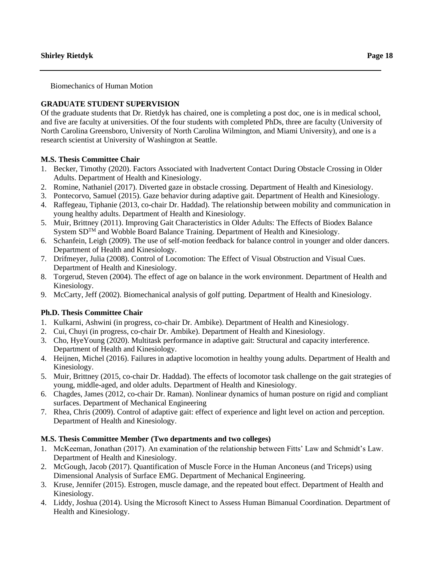Biomechanics of Human Motion

# **GRADUATE STUDENT SUPERVISION**

Of the graduate students that Dr. Rietdyk has chaired, one is completing a post doc, one is in medical school, and five are faculty at universities. Of the four students with completed PhDs, three are faculty (University of North Carolina Greensboro, University of North Carolina Wilmington, and Miami University), and one is a research scientist at University of Washington at Seattle.

# **M.S. Thesis Committee Chair**

- 1. Becker, Timothy (2020). Factors Associated with Inadvertent Contact During Obstacle Crossing in Older Adults. Department of Health and Kinesiology.
- 2. Romine, Nathaniel (2017). Diverted gaze in obstacle crossing. Department of Health and Kinesiology.
- 3. Pontecorvo, Samuel (2015). Gaze behavior during adaptive gait. Department of Health and Kinesiology.
- 4. Raffegeau, Tiphanie (2013, co-chair Dr. Haddad). The relationship between mobility and communication in young healthy adults. Department of Health and Kinesiology.
- 5. Muir, Brittney (2011). Improving Gait Characteristics in Older Adults: The Effects of Biodex Balance System SD<sup>TM</sup> and Wobble Board Balance Training. Department of Health and Kinesiology.
- 6. Schanfein, Leigh (2009). The use of self-motion feedback for balance control in younger and older dancers. Department of Health and Kinesiology.
- 7. Drifmeyer, Julia (2008). Control of Locomotion: The Effect of Visual Obstruction and Visual Cues. Department of Health and Kinesiology.
- 8. Torgerud, Steven (2004). The effect of age on balance in the work environment. Department of Health and Kinesiology.
- 9. McCarty, Jeff (2002). Biomechanical analysis of golf putting. Department of Health and Kinesiology.

# **Ph.D. Thesis Committee Chair**

- 1. Kulkarni, Ashwini (in progress, co-chair Dr. Ambike). Department of Health and Kinesiology.
- 2. Cui, Chuyi (in progress, co-chair Dr. Ambike). Department of Health and Kinesiology.
- 3. Cho, HyeYoung (2020). Multitask performance in adaptive gait: Structural and capacity interference. Department of Health and Kinesiology.
- 4. Heijnen, Michel (2016). Failures in adaptive locomotion in healthy young adults. Department of Health and Kinesiology.
- 5. Muir, Brittney (2015, co-chair Dr. Haddad). The effects of locomotor task challenge on the gait strategies of young, middle-aged, and older adults. Department of Health and Kinesiology.
- 6. Chagdes, James (2012, co-chair Dr. Raman). Nonlinear dynamics of human posture on rigid and compliant surfaces. Department of Mechanical Engineering
- 7. Rhea, Chris (2009). Control of adaptive gait: effect of experience and light level on action and perception. Department of Health and Kinesiology.

# **M.S. Thesis Committee Member (Two departments and two colleges)**

- 1. McKeeman, Jonathan (2017). An examination of the relationship between Fitts' Law and Schmidt's Law. Department of Health and Kinesiology.
- 2. McGough, Jacob (2017). Quantification of Muscle Force in the Human Anconeus (and Triceps) using Dimensional Analysis of Surface EMG. Department of Mechanical Engineering.
- 3. Kruse, Jennifer (2015). Estrogen, muscle damage, and the repeated bout effect. Department of Health and Kinesiology.
- 4. Liddy, Joshua (2014). Using the Microsoft Kinect to Assess Human Bimanual Coordination. Department of Health and Kinesiology.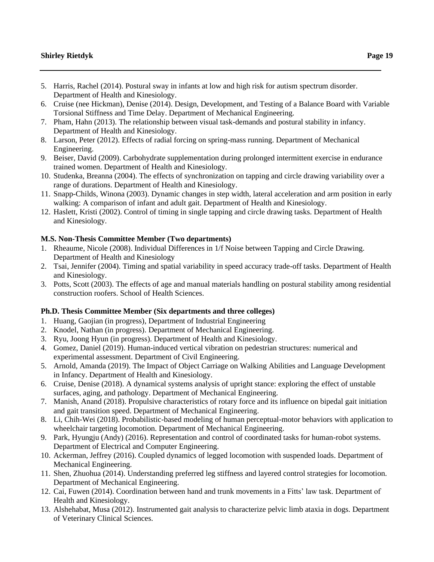- 5. Harris, Rachel (2014). Postural sway in infants at low and high risk for autism spectrum disorder. Department of Health and Kinesiology.
- 6. Cruise (nee Hickman), Denise (2014). Design, Development, and Testing of a Balance Board with Variable Torsional Stiffness and Time Delay. Department of Mechanical Engineering.
- 7. Pham, Hahn (2013). The relationship between visual task-demands and postural stability in infancy. Department of Health and Kinesiology.
- 8. Larson, Peter (2012). Effects of radial forcing on spring-mass running. Department of Mechanical Engineering.
- 9. Beiser, David (2009). Carbohydrate supplementation during prolonged intermittent exercise in endurance trained women. Department of Health and Kinesiology.
- 10. Studenka, Breanna (2004). The effects of synchronization on tapping and circle drawing variability over a range of durations. Department of Health and Kinesiology.
- 11. Snapp-Childs, Winona (2003). Dynamic changes in step width, lateral acceleration and arm position in early walking: A comparison of infant and adult gait. Department of Health and Kinesiology.
- 12. Haslett, Kristi (2002). Control of timing in single tapping and circle drawing tasks. Department of Health and Kinesiology.

# **M.S. Non-Thesis Committee Member (Two departments)**

- 1. Rheaume, Nicole (2008). Individual Differences in 1/f Noise between Tapping and Circle Drawing. Department of Health and Kinesiology
- 2. Tsai, Jennifer (2004). Timing and spatial variability in speed accuracy trade-off tasks. Department of Health and Kinesiology.
- 3. Potts, Scott (2003). The effects of age and manual materials handling on postural stability among residential construction roofers. School of Health Sciences.

# **Ph.D. Thesis Committee Member (Six departments and three colleges)**

- 1. Huang, Gaojian (in progress), Department of Industrial Engineering
- 2. Knodel, Nathan (in progress). Department of Mechanical Engineering.
- 3. Ryu, Joong Hyun (in progress). Department of Health and Kinesiology.
- 4. Gomez, Daniel (2019). Human-induced vertical vibration on pedestrian structures: numerical and experimental assessment. Department of Civil Engineering.
- 5. Arnold, Amanda (2019). The Impact of Object Carriage on Walking Abilities and Language Development in Infancy. Department of Health and Kinesiology.
- 6. Cruise, Denise (2018). A dynamical systems analysis of upright stance: exploring the effect of unstable surfaces, aging, and pathology. Department of Mechanical Engineering.
- 7. Manish, Anand (2018). Propulsive characteristics of rotary force and its influence on bipedal gait initiation and gait transition speed. Department of Mechanical Engineering.
- 8. Li, Chih-Wei (2018). Probabilistic-based modeling of human perceptual-motor behaviors with application to wheelchair targeting locomotion. Department of Mechanical Engineering.
- 9. Park, Hyungju (Andy) (2016). Representation and control of coordinated tasks for human-robot systems. Department of Electrical and Computer Engineering.
- 10. Ackerman, Jeffrey (2016). Coupled dynamics of legged locomotion with suspended loads. Department of Mechanical Engineering.
- 11. Shen, Zhuohua (2014). Understanding preferred leg stiffness and layered control strategies for locomotion. Department of Mechanical Engineering.
- 12. Cai, Fuwen (2014). Coordination between hand and trunk movements in a Fitts' law task. Department of Health and Kinesiology.
- 13. Alshehabat, Musa (2012). Instrumented gait analysis to characterize pelvic limb ataxia in dogs. Department of Veterinary Clinical Sciences.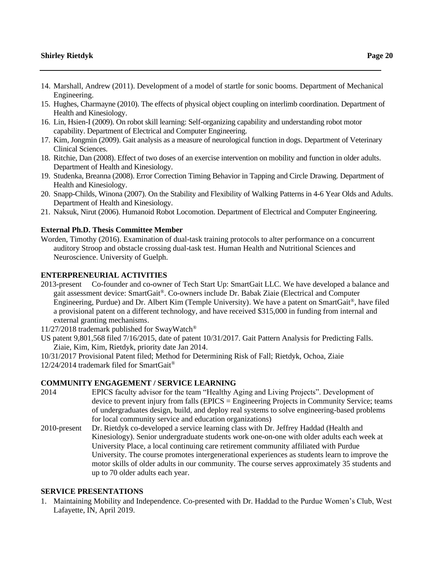- 14. Marshall, Andrew (2011). Development of a model of startle for sonic booms. Department of Mechanical Engineering.
- 15. Hughes, Charmayne (2010). The effects of physical object coupling on interlimb coordination. Department of Health and Kinesiology.
- 16. Lin, Hsien-I (2009). On robot skill learning: Self-organizing capability and understanding robot motor capability. Department of Electrical and Computer Engineering.
- 17. Kim, Jongmin (2009). Gait analysis as a measure of neurological function in dogs. Department of Veterinary Clinical Sciences.
- 18. Ritchie, Dan (2008). Effect of two doses of an exercise intervention on mobility and function in older adults. Department of Health and Kinesiology.
- 19. Studenka, Breanna (2008). Error Correction Timing Behavior in Tapping and Circle Drawing. Department of Health and Kinesiology.
- 20. Snapp-Childs, Winona (2007). On the Stability and Flexibility of Walking Patterns in 4-6 Year Olds and Adults. Department of Health and Kinesiology.
- 21. Naksuk, Nirut (2006). Humanoid Robot Locomotion. Department of Electrical and Computer Engineering.

### **External Ph.D. Thesis Committee Member**

Worden, Timothy (2016). Examination of dual-task training protocols to alter performance on a concurrent auditory Stroop and obstacle crossing dual-task test. Human Health and Nutritional Sciences and Neuroscience. University of Guelph.

# **ENTERPRENEURIAL ACTIVITIES**

2013-present Co-founder and co-owner of Tech Start Up: SmartGait LLC. We have developed a balance and gait assessment device: SmartGait®. Co-owners include Dr. Babak Ziaie (Electrical and Computer Engineering, Purdue) and Dr. Albert Kim (Temple University). We have a patent on SmartGait®, have filed a provisional patent on a different technology, and have received \$315,000 in funding from internal and external granting mechanisms.

11/27/2018 trademark published for SwayWatch®

US patent 9,801,568 filed 7/16/2015, date of patent 10/31/2017. Gait Pattern Analysis for Predicting Falls. Ziaie, Kim, Kim, Rietdyk, priority date Jan 2014.

10/31/2017 Provisional Patent filed; Method for Determining Risk of Fall; Rietdyk, Ochoa, Ziaie 12/24/2014 trademark filed for SmartGait®

#### **COMMUNITY ENGAGEMENT / SERVICE LEARNING**

- 2014 EPICS faculty advisor for the team "Healthy Aging and Living Projects". Development of device to prevent injury from falls (EPICS = Engineering Projects in Community Service; teams of undergraduates design, build, and deploy real systems to solve engineering-based problems for local community service and education organizations)
- 2010-present Dr. Rietdyk co-developed a service learning class with Dr. Jeffrey Haddad (Health and Kinesiology). Senior undergraduate students work one-on-one with older adults each week at University Place, a local continuing care retirement community affiliated with Purdue University. The course promotes intergenerational experiences as students learn to improve the motor skills of older adults in our community. The course serves approximately 35 students and up to 70 older adults each year.

## **SERVICE PRESENTATIONS**

1. Maintaining Mobility and Independence. Co-presented with Dr. Haddad to the Purdue Women's Club, West Lafayette, IN, April 2019.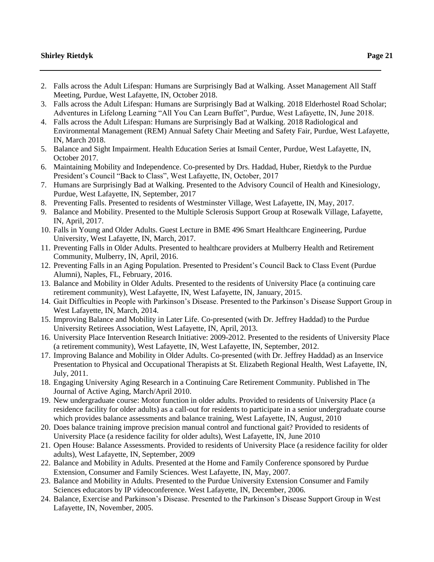- 2. Falls across the Adult Lifespan: Humans are Surprisingly Bad at Walking. Asset Management All Staff Meeting, Purdue, West Lafayette, IN, October 2018.
- 3. Falls across the Adult Lifespan: Humans are Surprisingly Bad at Walking. 2018 Elderhostel Road Scholar; Adventures in Lifelong Learning "All You Can Learn Buffet", Purdue, West Lafayette, IN, June 2018.
- 4. Falls across the Adult Lifespan: Humans are Surprisingly Bad at Walking. 2018 Radiological and Environmental Management (REM) Annual Safety Chair Meeting and Safety Fair, Purdue, West Lafayette, IN, March 2018.
- 5. Balance and Sight Impairment. Health Education Series at Ismail Center, Purdue, West Lafayette, IN, October 2017.
- 6. Maintaining Mobility and Independence. Co-presented by Drs. Haddad, Huber, Rietdyk to the Purdue President's Council "Back to Class", West Lafayette, IN, October, 2017
- 7. Humans are Surprisingly Bad at Walking. Presented to the Advisory Council of Health and Kinesiology, Purdue, West Lafayette, IN, September, 2017
- 8. Preventing Falls. Presented to residents of Westminster Village, West Lafayette, IN, May, 2017.
- 9. Balance and Mobility. Presented to the Multiple Sclerosis Support Group at Rosewalk Village, Lafayette, IN, April, 2017.
- 10. Falls in Young and Older Adults. Guest Lecture in BME 496 Smart Healthcare Engineering, Purdue University, West Lafayette, IN, March, 2017.
- 11. Preventing Falls in Older Adults. Presented to healthcare providers at Mulberry Health and Retirement Community, Mulberry, IN, April, 2016.
- 12. Preventing Falls in an Aging Population. Presented to President's Council Back to Class Event (Purdue Alumni), Naples, FL, February, 2016.
- 13. Balance and Mobility in Older Adults. Presented to the residents of University Place (a continuing care retirement community), West Lafayette, IN, West Lafayette, IN, January, 2015.
- 14. Gait Difficulties in People with Parkinson's Disease. Presented to the Parkinson's Disease Support Group in West Lafayette, IN, March, 2014.
- 15. Improving Balance and Mobility in Later Life. Co-presented (with Dr. Jeffrey Haddad) to the Purdue University Retirees Association, West Lafayette, IN, April, 2013.
- 16. University Place Intervention Research Initiative: 2009-2012. Presented to the residents of University Place (a retirement community), West Lafayette, IN, West Lafayette, IN, September, 2012.
- 17. Improving Balance and Mobility in Older Adults. Co-presented (with Dr. Jeffrey Haddad) as an Inservice Presentation to Physical and Occupational Therapists at St. Elizabeth Regional Health, West Lafayette, IN, July, 2011.
- 18. Engaging University Aging Research in a Continuing Care Retirement Community. Published in The Journal of Active Aging, March/April 2010.
- 19. New undergraduate course: Motor function in older adults. Provided to residents of University Place (a residence facility for older adults) as a call-out for residents to participate in a senior undergraduate course which provides balance assessments and balance training, West Lafayette, IN, August, 2010
- 20. Does balance training improve precision manual control and functional gait? Provided to residents of University Place (a residence facility for older adults), West Lafayette, IN, June 2010
- 21. Open House: Balance Assessments. Provided to residents of University Place (a residence facility for older adults), West Lafayette, IN, September, 2009
- 22. Balance and Mobility in Adults. Presented at the Home and Family Conference sponsored by Purdue Extension, Consumer and Family Sciences. West Lafayette, IN, May, 2007.
- 23. Balance and Mobility in Adults. Presented to the Purdue University Extension Consumer and Family Sciences educators by IP videoconference. West Lafayette, IN, December, 2006.
- 24. Balance, Exercise and Parkinson's Disease. Presented to the Parkinson's Disease Support Group in West Lafayette, IN, November, 2005.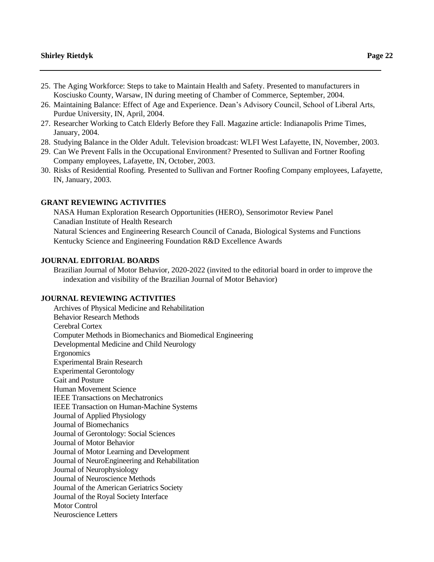- 25. The Aging Workforce: Steps to take to Maintain Health and Safety. Presented to manufacturers in Kosciusko County, Warsaw, IN during meeting of Chamber of Commerce, September, 2004.
- 26. Maintaining Balance: Effect of Age and Experience. Dean's Advisory Council, School of Liberal Arts, Purdue University, IN, April, 2004.
- 27. Researcher Working to Catch Elderly Before they Fall. Magazine article: Indianapolis Prime Times, January, 2004.
- 28. Studying Balance in the Older Adult. Television broadcast: WLFI West Lafayette, IN, November, 2003.
- 29. Can We Prevent Falls in the Occupational Environment? Presented to Sullivan and Fortner Roofing Company employees, Lafayette, IN, October, 2003.
- 30. Risks of Residential Roofing. Presented to Sullivan and Fortner Roofing Company employees, Lafayette, IN, January, 2003.

### **GRANT REVIEWING ACTIVITIES**

NASA Human Exploration Research Opportunities (HERO), Sensorimotor Review Panel Canadian Institute of Health Research

Natural Sciences and Engineering Research Council of Canada, Biological Systems and Functions Kentucky Science and Engineering Foundation R&D Excellence Awards

### **JOURNAL EDITORIAL BOARDS**

Brazilian Journal of Motor Behavior, 2020-2022 (invited to the editorial board in order to improve the indexation and visibility of the Brazilian Journal of Motor Behavior)

## **JOURNAL REVIEWING ACTIVITIES**

Archives of Physical Medicine and Rehabilitation Behavior Research Methods Cerebral Cortex Computer Methods in Biomechanics and Biomedical Engineering Developmental Medicine and Child Neurology Ergonomics Experimental Brain Research Experimental Gerontology Gait and Posture Human Movement Science IEEE Transactions on Mechatronics IEEE Transaction on Human-Machine Systems Journal of Applied Physiology Journal of Biomechanics Journal of Gerontology: Social Sciences Journal of Motor Behavior Journal of Motor Learning and Development Journal of NeuroEngineering and Rehabilitation Journal of Neurophysiology Journal of Neuroscience Methods Journal of the American Geriatrics Society Journal of the Royal Society Interface Motor Control Neuroscience Letters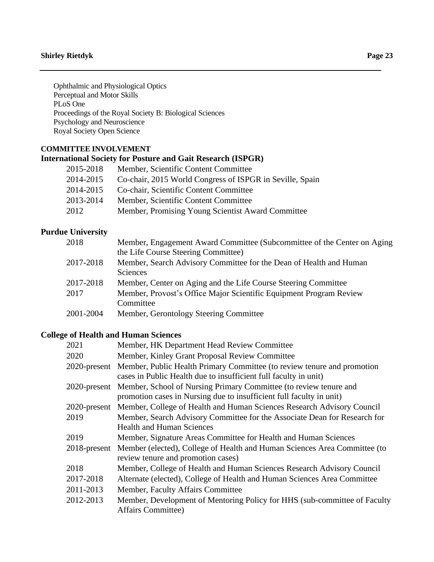Ophthalmic and Physiological Optics Perceptual and Motor Skills PLoS One Proceedings of the Royal Society B: Biological Sciences Psychology and Neuroscience Royal Society Open Science

# **COMMITTEE INVOLVEMENT**

# **International Society for Posture and Gait Research (ISPGR)**

| 2015-2018 | Member, Scientific Content Committee                     |
|-----------|----------------------------------------------------------|
| 2014-2015 | Co-chair, 2015 World Congress of ISPGR in Seville, Spain |
| 2014-2015 | Co-chair, Scientific Content Committee                   |
| 2013-2014 | Member, Scientific Content Committee                     |
| 2012      | Member, Promising Young Scientist Award Committee        |

# **Purdue University**

| Member, Engagement Award Committee (Subcommittee of the Center on Aging |
|-------------------------------------------------------------------------|
| the Life Course Steering Committee)                                     |
| Member, Search Advisory Committee for the Dean of Health and Human      |
| <b>Sciences</b>                                                         |
| Member, Center on Aging and the Life Course Steering Committee          |
| Member, Provost's Office Major Scientific Equipment Program Review      |
| Committee                                                               |
| Member, Gerontology Steering Committee                                  |
|                                                                         |

# **College of Health and Human Sciences**

| 2021         | Member, HK Department Head Review Committee                                                                                                              |
|--------------|----------------------------------------------------------------------------------------------------------------------------------------------------------|
| 2020         | Member, Kinley Grant Proposal Review Committee                                                                                                           |
|              | 2020-present Member, Public Health Primary Committee (to review tenure and promotion<br>cases in Public Health due to insufficient full faculty in unit) |
| 2020-present | Member, School of Nursing Primary Committee (to review tenure and<br>promotion cases in Nursing due to insufficient full faculty in unit)                |
| 2020-present | Member, College of Health and Human Sciences Research Advisory Council                                                                                   |
| 2019         | Member, Search Advisory Committee for the Associate Dean for Research for<br><b>Health and Human Sciences</b>                                            |
| 2019         | Member, Signature Areas Committee for Health and Human Sciences                                                                                          |
| 2018-present | Member (elected), College of Health and Human Sciences Area Committee (to<br>review tenure and promotion cases)                                          |
| 2018         | Member, College of Health and Human Sciences Research Advisory Council                                                                                   |
| 2017-2018    | Alternate (elected), College of Health and Human Sciences Area Committee                                                                                 |
| 2011-2013    | Member, Faculty Affairs Committee                                                                                                                        |
| 2012-2013    | Member, Development of Mentoring Policy for HHS (sub-committee of Faculty<br><b>Affairs Committee)</b>                                                   |